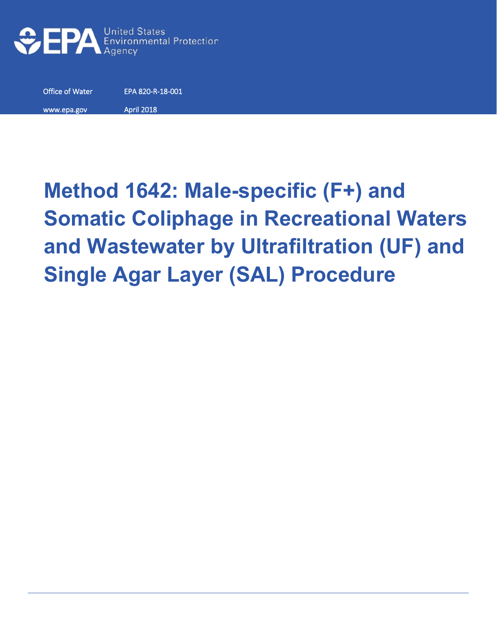

Office of Water EPA 820-R-18-001 www.epa.gov April 2018

# **Method 1642: Male-specific (F+) and Somatic Coliphage in Recreational Waters and Wastewater by Ultrafiltration (UF) and Single Agar Layer (SAL) Procedure**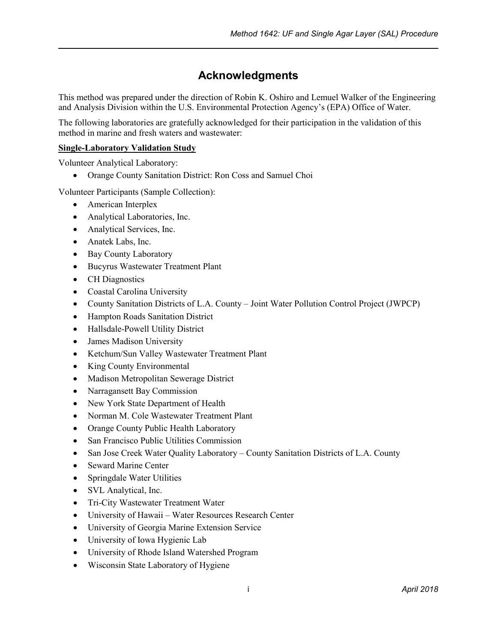### **Acknowledgments**

This method was prepared under the direction of Robin K. Oshiro and Lemuel Walker of the Engineering and Analysis Division within the U.S. Environmental Protection Agency's (EPA) Office of Water.

The following laboratories are gratefully acknowledged for their participation in the validation of this method in marine and fresh waters and wastewater:

#### **Single-Laboratory Validation Study**

Volunteer Analytical Laboratory:

• Orange County Sanitation District: Ron Coss and Samuel Choi

Volunteer Participants (Sample Collection):

- American Interplex
- Analytical Laboratories, Inc.
- Analytical Services, Inc.
- Anatek Labs, Inc.
- Bay County Laboratory
- Bucyrus Wastewater Treatment Plant
- CH Diagnostics
- Coastal Carolina University
- County Sanitation Districts of L.A. County Joint Water Pollution Control Project (JWPCP)
- Hampton Roads Sanitation District
- Hallsdale-Powell Utility District
- James Madison University
- Ketchum/Sun Valley Wastewater Treatment Plant
- King County Environmental
- Madison Metropolitan Sewerage District
- Narragansett Bay Commission
- New York State Department of Health
- Norman M. Cole Wastewater Treatment Plant
- Orange County Public Health Laboratory
- San Francisco Public Utilities Commission
- San Jose Creek Water Quality Laboratory County Sanitation Districts of L.A. County
- Seward Marine Center
- Springdale Water Utilities
- SVL Analytical, Inc.
- Tri-City Wastewater Treatment Water
- University of Hawaii Water Resources Research Center
- University of Georgia Marine Extension Service
- University of Iowa Hygienic Lab
- University of Rhode Island Watershed Program
- Wisconsin State Laboratory of Hygiene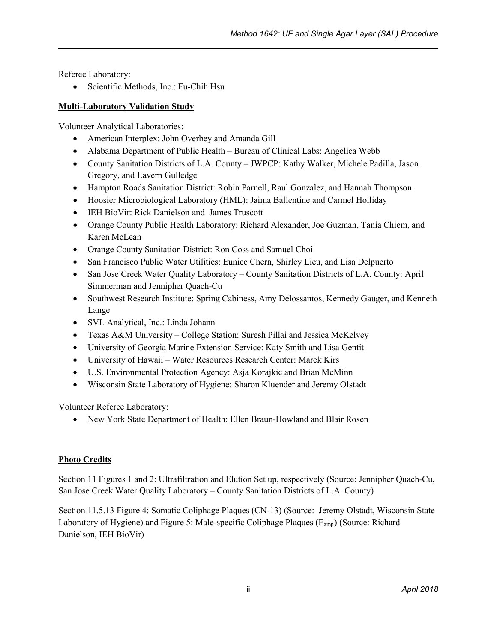Referee Laboratory:

• Scientific Methods, Inc.: Fu-Chih Hsu

#### **Multi-Laboratory Validation Study**

Volunteer Analytical Laboratories:

- American Interplex: John Overbey and Amanda Gill
- Alabama Department of Public Health Bureau of Clinical Labs: Angelica Webb
- County Sanitation Districts of L.A. County JWPCP: Kathy Walker, Michele Padilla, Jason Gregory, and Lavern Gulledge
- Hampton Roads Sanitation District: Robin Parnell, Raul Gonzalez, and Hannah Thompson
- Hoosier Microbiological Laboratory (HML): Jaima Ballentine and Carmel Holliday
- IEH BioVir: Rick Danielson and James Truscott
- Orange County Public Health Laboratory: Richard Alexander, Joe Guzman, Tania Chiem, and Karen McLean
- Orange County Sanitation District: Ron Coss and Samuel Choi
- San Francisco Public Water Utilities: Eunice Chern, Shirley Lieu, and Lisa Delpuerto
- San Jose Creek Water Quality Laboratory County Sanitation Districts of L.A. County: April Simmerman and Jennipher Quach-Cu
- Southwest Research Institute: Spring Cabiness, Amy Delossantos, Kennedy Gauger, and Kenneth Lange
- SVL Analytical, Inc.: Linda Johann
- Texas A&M University College Station: Suresh Pillai and Jessica McKelvey
- University of Georgia Marine Extension Service: Katy Smith and Lisa Gentit
- University of Hawaii Water Resources Research Center: Marek Kirs
- U.S. Environmental Protection Agency: Asja Korajkic and Brian McMinn
- Wisconsin State Laboratory of Hygiene: Sharon Kluender and Jeremy Olstadt

Volunteer Referee Laboratory:

• New York State Department of Health: Ellen Braun-Howland and Blair Rosen

#### **Photo Credits**

Section 11 Figures 1 and 2: Ultrafiltration and Elution Set up, respectively (Source: Jennipher Quach-Cu, San Jose Creek Water Quality Laboratory – County Sanitation Districts of L.A. County)

Section 11.5.13 Figure 4: Somatic Coliphage Plaques (CN-13) (Source: Jeremy Olstadt, Wisconsin State Laboratory of Hygiene) and Figure 5: Male-specific Coliphage Plaques (F<sub>amp</sub>) (Source: Richard Danielson, IEH BioVir)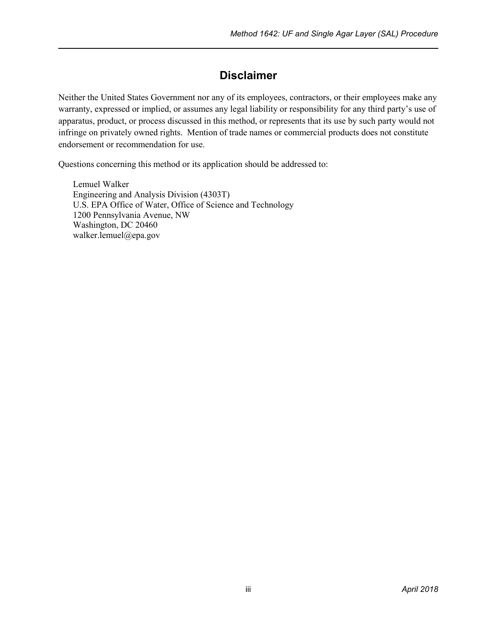### **Disclaimer**

<span id="page-3-0"></span>Neither the United States Government nor any of its employees, contractors, or their employees make any warranty, expressed or implied, or assumes any legal liability or responsibility for any third party's use of apparatus, product, or process discussed in this method, or represents that its use by such party would not infringe on privately owned rights. Mention of trade names or commercial products does not constitute endorsement or recommendation for use.

Questions concerning this method or its application should be addressed to:

Lemuel Walker Engineering and Analysis Division (4303T) U.S. EPA Office of Water, Office of Science and Technology 1200 Pennsylvania Avenue, NW Washington, DC 20460 walker.lemuel@epa.gov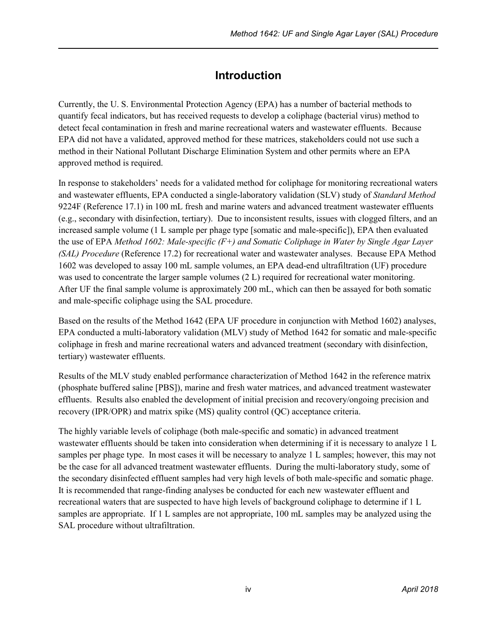### **Introduction**

<span id="page-4-0"></span>Currently, the U. S. Environmental Protection Agency (EPA) has a number of bacterial methods to quantify fecal indicators, but has received requests to develop a coliphage (bacterial virus) method to detect fecal contamination in fresh and marine recreational waters and wastewater effluents. Because EPA did not have a validated, approved method for these matrices, stakeholders could not use such a method in their National Pollutant Discharge Elimination System and other permits where an EPA approved method is required.

In response to stakeholders' needs for a validated method for coliphage for monitoring recreational waters and wastewater effluents, EPA conducted a single-laboratory validation (SLV) study of *Standard Method* 9224F (Reference 17.1) in 100 mL fresh and marine waters and advanced treatment wastewater effluents (e.g., secondary with disinfection, tertiary). Due to inconsistent results, issues with clogged filters, and an increased sample volume (1 L sample per phage type [somatic and male-specific]), EPA then evaluated the use of EPA *Method 1602: Male-specific (F+) and Somatic Coliphage in Water by Single Agar Layer (SAL) Procedure* (Reference 17.2) for recreational water and wastewater analyses. Because EPA Method 1602 was developed to assay 100 mL sample volumes, an EPA dead-end ultrafiltration (UF) procedure was used to concentrate the larger sample volumes (2 L) required for recreational water monitoring. After UF the final sample volume is approximately 200 mL, which can then be assayed for both somatic and male-specific coliphage using the SAL procedure.

Based on the results of the Method 1642 (EPA UF procedure in conjunction with Method 1602) analyses, EPA conducted a multi-laboratory validation (MLV) study of Method 1642 for somatic and male-specific coliphage in fresh and marine recreational waters and advanced treatment (secondary with disinfection, tertiary) wastewater effluents.

Results of the MLV study enabled performance characterization of Method 1642 in the reference matrix (phosphate buffered saline [PBS]), marine and fresh water matrices, and advanced treatment wastewater effluents. Results also enabled the development of initial precision and recovery/ongoing precision and recovery (IPR/OPR) and matrix spike (MS) quality control (QC) acceptance criteria.

The highly variable levels of coliphage (both male-specific and somatic) in advanced treatment wastewater effluents should be taken into consideration when determining if it is necessary to analyze 1 L samples per phage type. In most cases it will be necessary to analyze 1 L samples; however, this may not be the case for all advanced treatment wastewater effluents. During the multi-laboratory study, some of the secondary disinfected effluent samples had very high levels of both male-specific and somatic phage. It is recommended that range-finding analyses be conducted for each new wastewater effluent and recreational waters that are suspected to have high levels of background coliphage to determine if 1 L samples are appropriate. If 1 L samples are not appropriate, 100 mL samples may be analyzed using the SAL procedure without ultrafiltration.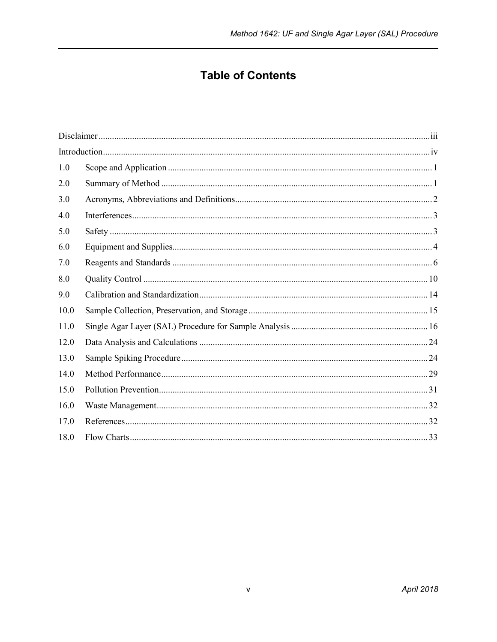### **Table of Contents**

| 1.0  |  |
|------|--|
| 2.0  |  |
| 3.0  |  |
| 4.0  |  |
| 5.0  |  |
| 6.0  |  |
| 7.0  |  |
| 8.0  |  |
| 9.0  |  |
| 10.0 |  |
| 11.0 |  |
| 12.0 |  |
| 13.0 |  |
| 14.0 |  |
| 15.0 |  |
| 16.0 |  |
| 17.0 |  |
| 18.0 |  |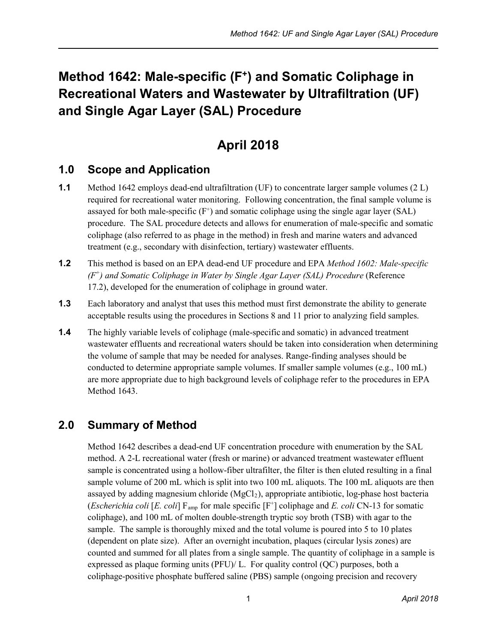# **Method 1642: Male-specific (F+) and Somatic Coliphage in Recreational Waters and Wastewater by Ultrafiltration (UF) and Single Agar Layer (SAL) Procedure**

# **April 2018**

### <span id="page-6-0"></span>**1.0 Scope and Application**

- **1.1** Method 1642 employs dead-end ultrafiltration (UF) to concentrate larger sample volumes (2 L) required for recreational water monitoring. Following concentration, the final sample volume is assayed for both male-specific  $(F^+)$  and somatic coliphage using the single agar layer (SAL) procedure. The SAL procedure detects and allows for enumeration of male-specific and somatic coliphage (also referred to as phage in the method) in fresh and marine waters and advanced treatment (e.g., secondary with disinfection, tertiary) wastewater effluents.
- **1.2** This method is based on an EPA dead-end UF procedure and EPA *Method 1602: Male-specific (F+) and Somatic Coliphage in Water by Single Agar Layer (SAL) Procedure* (Reference 17.2), developed for the enumeration of coliphage in ground water.
- **1.3** Each laboratory and analyst that uses this method must first demonstrate the ability to generate acceptable results using the procedures in Sections 8 and 11 prior to analyzing field samples.
- **1.4** The highly variable levels of coliphage (male-specific and somatic) in advanced treatment wastewater effluents and recreational waters should be taken into consideration when determining the volume of sample that may be needed for analyses. Range-finding analyses should be conducted to determine appropriate sample volumes. If smaller sample volumes (e.g., 100 mL) are more appropriate due to high background levels of coliphage refer to the procedures in EPA Method 1643.

### <span id="page-6-1"></span>**2.0 Summary of Method**

Method 1642 describes a dead-end UF concentration procedure with enumeration by the SAL method. A 2-L recreational water (fresh or marine) or advanced treatment wastewater effluent sample is concentrated using a hollow-fiber ultrafilter, the filter is then eluted resulting in a final sample volume of 200 mL which is split into two 100 mL aliquots. The 100 mL aliquots are then assayed by adding magnesium chloride  $(MgCl<sub>2</sub>)$ , appropriate antibiotic, log-phase host bacteria (*Escherichia coli* [*E. coli*]  $F_{\text{amp}}$  for male specific [ $F^+$ ] coliphage and *E. coli* CN-13 for somatic coliphage), and 100 mL of molten double-strength tryptic soy broth (TSB) with agar to the sample. The sample is thoroughly mixed and the total volume is poured into 5 to 10 plates (dependent on plate size). After an overnight incubation, plaques (circular lysis zones) are counted and summed for all plates from a single sample. The quantity of coliphage in a sample is expressed as plaque forming units (PFU)/ L. For quality control (QC) purposes, both a coliphage-positive phosphate buffered saline (PBS) sample (ongoing precision and recovery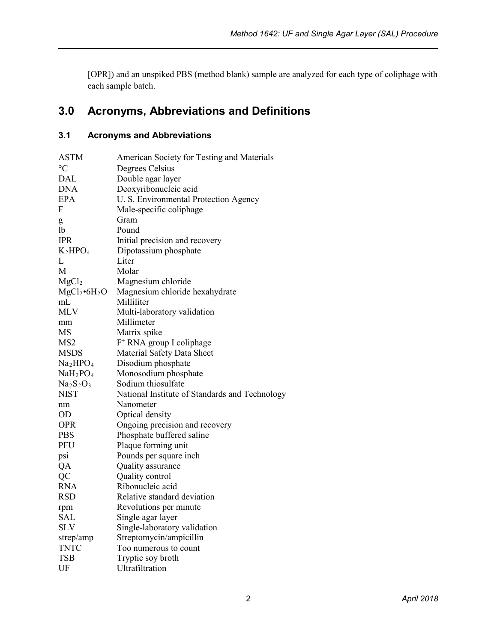[OPR]) and an unspiked PBS (method blank) sample are analyzed for each type of coliphage with each sample batch.

## <span id="page-7-0"></span>**3.0 Acronyms, Abbreviations and Definitions**

### **3.1 Acronyms and Abbreviations**

| <b>ASTM</b>                      | American Society for Testing and Materials     |
|----------------------------------|------------------------------------------------|
| $\rm ^{\circ}C$                  | Degrees Celsius                                |
| DAL                              | Double agar layer                              |
| <b>DNA</b>                       | Deoxyribonucleic acid                          |
| <b>EPA</b>                       | U. S. Environmental Protection Agency          |
| $\mathrm{F}^+$                   | Male-specific coliphage                        |
| g                                | Gram                                           |
| <b>lb</b>                        | Pound                                          |
| <b>IPR</b>                       | Initial precision and recovery                 |
| $K_2HPO_4$                       | Dipotassium phosphate                          |
| L                                | Liter                                          |
| М                                | Molar                                          |
| MgCl <sub>2</sub>                | Magnesium chloride                             |
| $MgCl_2 \bullet 6H_2O$           | Magnesium chloride hexahydrate                 |
| mL                               | Milliliter                                     |
| <b>MLV</b>                       | Multi-laboratory validation                    |
| mm                               | Millimeter                                     |
| MS                               | Matrix spike                                   |
| MS <sub>2</sub>                  | F <sup>+</sup> RNA group I coliphage           |
| <b>MSDS</b>                      | Material Safety Data Sheet                     |
| Na <sub>2</sub> HPO <sub>4</sub> | Disodium phosphate                             |
| NaH <sub>2</sub> PO <sub>4</sub> | Monosodium phosphate                           |
| $Na2S2O3$                        | Sodium thiosulfate                             |
| <b>NIST</b>                      | National Institute of Standards and Technology |
| nm                               | Nanometer                                      |
| OD                               | Optical density                                |
| <b>OPR</b>                       | Ongoing precision and recovery                 |
| <b>PBS</b>                       | Phosphate buffered saline                      |
| PFU                              | Plaque forming unit                            |
| psi                              | Pounds per square inch                         |
| QA                               | Quality assurance                              |
| QC                               | Quality control                                |
| <b>RNA</b>                       | Ribonucleic acid                               |
| <b>RSD</b>                       | Relative standard deviation                    |
| rpm                              | Revolutions per minute                         |
| SAL                              | Single agar layer                              |
| <b>SLV</b>                       | Single-laboratory validation                   |
| strep/amp                        | Streptomycin/ampicillin                        |
| <b>TNTC</b>                      | Too numerous to count                          |
| <b>TSB</b>                       | Tryptic soy broth                              |
| UF                               | Ultrafiltration                                |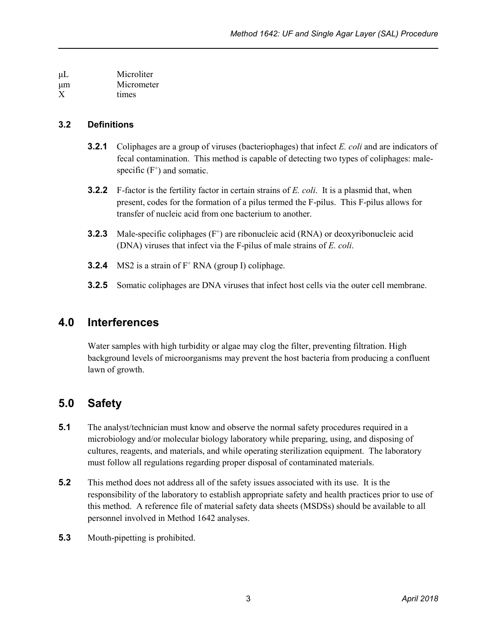μL Microliter μm Micrometer X times

#### **3.2 Definitions**

- **3.2.1** Coliphages are a group of viruses (bacteriophages) that infect *E. coli* and are indicators of fecal contamination. This method is capable of detecting two types of coliphages: malespecific  $(F^+)$  and somatic.
- **3.2.2** F-factor is the fertility factor in certain strains of *E. coli*. It is a plasmid that, when present, codes for the formation of a pilus termed the F-pilus. This F-pilus allows for transfer of nucleic acid from one bacterium to another.
- **3.2.3** Male-specific coliphages (F<sup>+</sup>) are ribonucleic acid (RNA) or deoxyribonucleic acid (DNA) viruses that infect via the F-pilus of male strains of *E. coli*.
- **3.2.4** MS2 is a strain of F<sup>+</sup> RNA (group I) coliphage.
- **3.2.5** Somatic coliphages are DNA viruses that infect host cells via the outer cell membrane.

### <span id="page-8-0"></span>**4.0 Interferences**

Water samples with high turbidity or algae may clog the filter, preventing filtration. High background levels of microorganisms may prevent the host bacteria from producing a confluent lawn of growth.

### <span id="page-8-1"></span>**5.0 Safety**

- **5.1** The analyst/technician must know and observe the normal safety procedures required in a microbiology and/or molecular biology laboratory while preparing, using, and disposing of cultures, reagents, and materials, and while operating sterilization equipment. The laboratory must follow all regulations regarding proper disposal of contaminated materials.
- **5.2** This method does not address all of the safety issues associated with its use. It is the responsibility of the laboratory to establish appropriate safety and health practices prior to use of this method. A reference file of material safety data sheets (MSDSs) should be available to all personnel involved in Method 1642 analyses.
- **5.3** Mouth-pipetting is prohibited.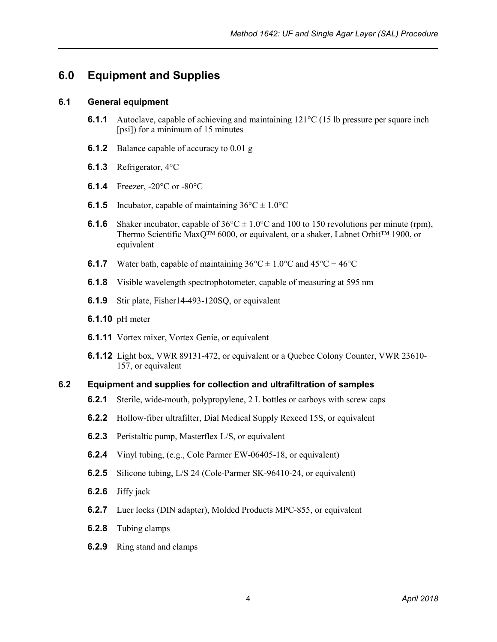### <span id="page-9-0"></span>**6.0 Equipment and Supplies**

#### **6.1 General equipment**

- **6.1.1** Autoclave, capable of achieving and maintaining 121<sup>o</sup>C (15 lb pressure per square inch [psi]) for a minimum of 15 minutes
- **6.1.2** Balance capable of accuracy to 0.01 g
- **6.1.3** Refrigerator, 4°C
- **6.1.4** Freezer, -20°C or -80°C
- **6.1.5** Incubator, capable of maintaining  $36^{\circ}C \pm 1.0^{\circ}C$
- **6.1.6** Shaker incubator, capable of  $36^{\circ}\text{C} \pm 1.0^{\circ}\text{C}$  and 100 to 150 revolutions per minute (rpm), Thermo Scientific MaxQ™ 6000, or equivalent, or a shaker, Labnet Orbit™ 1900, or equivalent
- **6.1.7** Water bath, capable of maintaining  $36^{\circ}\text{C} \pm 1.0^{\circ}\text{C}$  and  $45^{\circ}\text{C} 46^{\circ}\text{C}$
- **6.1.8** Visible wavelength spectrophotometer, capable of measuring at 595 nm
- **6.1.9** Stir plate, Fisher14-493-120SQ, or equivalent
- **6.1.10** pH meter
- **6.1.11** Vortex mixer, Vortex Genie, or equivalent
- **6.1.12** Light box, VWR 89131-472, or equivalent or a Quebec Colony Counter, VWR 23610- 157, or equivalent

#### **6.2 Equipment and supplies for collection and ultrafiltration of samples**

- **6.2.1** Sterile, wide-mouth, polypropylene, 2 L bottles or carboys with screw caps
- **6.2.2** Hollow-fiber ultrafilter, Dial Medical Supply Rexeed 15S, or equivalent
- **6.2.3** Peristaltic pump, Masterflex L/S, or equivalent
- **6.2.4** Vinyl tubing, (e.g., Cole Parmer EW-06405-18, or equivalent)
- **6.2.5** Silicone tubing, L/S 24 (Cole-Parmer SK-96410-24, or equivalent)
- **6.2.6** Jiffy jack
- **6.2.7** Luer locks (DIN adapter), Molded Products MPC-855, or equivalent
- **6.2.8** Tubing clamps
- **6.2.9** Ring stand and clamps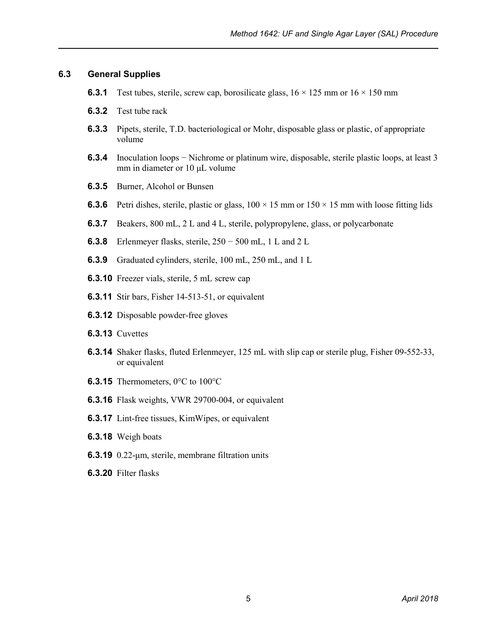#### **6.3 General Supplies**

- **6.3.1** Test tubes, sterile, screw cap, borosilicate glass,  $16 \times 125$  mm or  $16 \times 150$  mm
- **6.3.2** Test tube rack
- **6.3.3** Pipets, sterile, T.D. bacteriological or Mohr, disposable glass or plastic, of appropriate volume
- **6.3.4** Inoculation loops − Nichrome or platinum wire, disposable, sterile plastic loops, at least 3 mm in diameter or 10 μL volume
- **6.3.5** Burner, Alcohol or Bunsen
- **6.3.6** Petri dishes, sterile, plastic or glass,  $100 \times 15$  mm or  $150 \times 15$  mm with loose fitting lids
- **6.3.7** Beakers, 800 mL, 2 L and 4 L, sterile, polypropylene, glass, or polycarbonate
- **6.3.8** Erlenmeyer flasks, sterile, 250 − 500 mL, 1 L and 2 L
- **6.3.9** Graduated cylinders, sterile, 100 mL, 250 mL, and 1 L
- **6.3.10** Freezer vials, sterile, 5 mL screw cap
- **6.3.11** Stir bars, Fisher 14-513-51, or equivalent
- **6.3.12** Disposable powder-free gloves
- **6.3.13** Cuvettes
- **6.3.14** Shaker flasks, fluted Erlenmeyer, 125 mL with slip cap or sterile plug, Fisher 09-552-33, or equivalent
- **6.3.15** Thermometers, 0°C to 100°C
- **6.3.16** Flask weights, VWR 29700-004, or equivalent
- **6.3.17** Lint-free tissues, KimWipes, or equivalent
- **6.3.18** Weigh boats
- **6.3.19** 0.22-μm, sterile, membrane filtration units
- **6.3.20** Filter flasks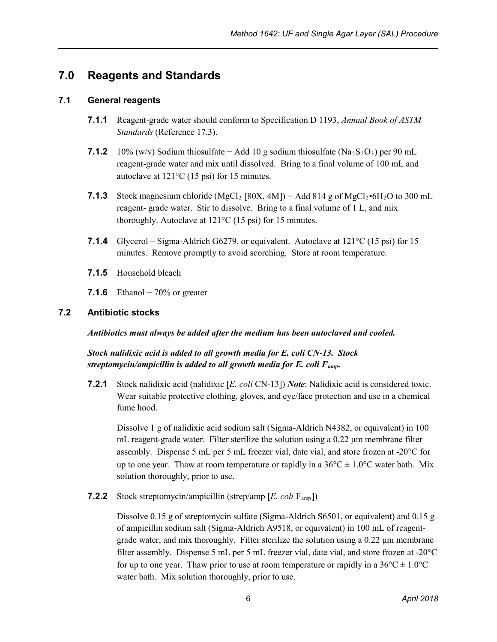### <span id="page-11-0"></span>**7.0 Reagents and Standards**

#### **7.1 General reagents**

- **7.1.1** Reagent-grade water should conform to Specification D 1193, *Annual Book of ASTM Standards* (Reference 17.3).
- **7.1.2** 10% (w/v) Sodium thiosulfate − Add 10 g sodium thiosulfate ( $Na<sub>2</sub>S<sub>2</sub>O<sub>3</sub>$ ) per 90 mL reagent-grade water and mix until dissolved. Bring to a final volume of 100 mL and autoclave at 121°C (15 psi) for 15 minutes.
- **7.1.3** Stock magnesium chloride (MgCl<sub>2</sub> [80X, 4M]) Add 814 g of MgCl<sub>2</sub>•6H<sub>2</sub>O to 300 mL reagent- grade water. Stir to dissolve. Bring to a final volume of 1 L, and mix thoroughly. Autoclave at 121°C (15 psi) for 15 minutes.
- **7.1.4** Glycerol Sigma-Aldrich G6279, or equivalent. Autoclave at 121°C (15 psi) for 15 minutes. Remove promptly to avoid scorching. Store at room temperature.
- **7.1.5** Household bleach
- **7.1.6** Ethanol − 70% or greater

#### **7.2 Antibiotic stocks**

*Antibiotics must always be added after the medium has been autoclaved and cooled.*

*Stock nalidixic acid is added to all growth media for E. coli CN-13. Stock streptomycin/ampicillin is added to all growth media for E. coli Famp.*

**7.2.1** Stock nalidixic acid (nalidixic [*E. coli* CN-13]) *Note*: Nalidixic acid is considered toxic. Wear suitable protective clothing, gloves, and eye/face protection and use in a chemical fume hood.

Dissolve 1 g of nalidixic acid sodium salt (Sigma-Aldrich N4382, or equivalent) in 100 mL reagent-grade water. Filter sterilize the solution using a 0.22 μm membrane filter assembly. Dispense 5 mL per 5 mL freezer vial, date vial, and store frozen at -20°C for up to one year. Thaw at room temperature or rapidly in a  $36^{\circ}$ C  $\pm$  1.0°C water bath. Mix solution thoroughly, prior to use.

**7.2.2** Stock streptomycin/ampicillin (strep/amp [*E. coli* Famp])

Dissolve 0.15 g of streptomycin sulfate (Sigma-Aldrich S6501, or equivalent) and 0.15 g of ampicillin sodium salt (Sigma-Aldrich A9518, or equivalent) in 100 mL of reagentgrade water, and mix thoroughly. Filter sterilize the solution using a 0.22 μm membrane filter assembly. Dispense 5 mL per 5 mL freezer vial, date vial, and store frozen at -20°C for up to one year. Thaw prior to use at room temperature or rapidly in a  $36^{\circ}\text{C} \pm 1.0^{\circ}\text{C}$ water bath. Mix solution thoroughly, prior to use.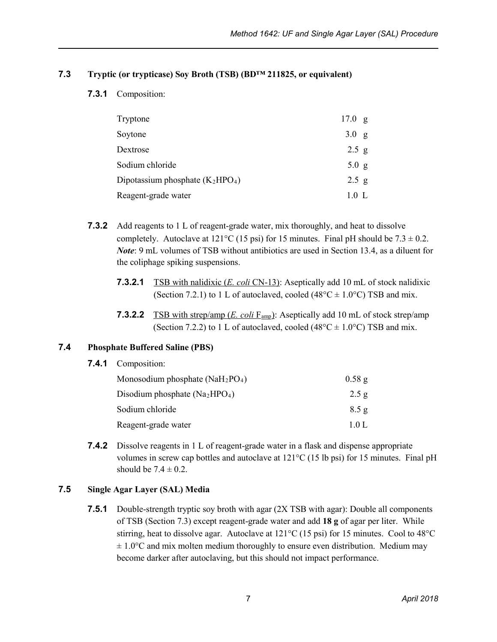#### **7.3 Tryptic (or trypticase) Soy Broth (TSB) (BD™ 211825, or equivalent)**

#### **7.3.1** Composition:

| Tryptone                           | 17.0 g           |
|------------------------------------|------------------|
| Soytone                            | 3.0 g            |
| Dextrose                           | $2.5$ g          |
| Sodium chloride                    | 5.0 g            |
| Dipotassium phosphate $(K_2HPO_4)$ | 2.5 g            |
| Reagent-grade water                | $1.0 \mathrm{L}$ |

- **7.3.2** Add reagents to 1 L of reagent-grade water, mix thoroughly, and heat to dissolve completely. Autoclave at  $121^{\circ}$ C (15 psi) for 15 minutes. Final pH should be 7.3  $\pm$  0.2. *Note*: 9 mL volumes of TSB without antibiotics are used in Section 13.4, as a diluent for the coliphage spiking suspensions.
	- **7.3.2.1** TSB with nalidixic (*E. coli* CN-13): Aseptically add 10 mL of stock nalidixic (Section 7.2.1) to 1 L of autoclaved, cooled (48 $^{\circ}$ C  $\pm$  1.0 $^{\circ}$ C) TSB and mix.
	- **7.3.2.2** TSB with strep/amp (*E. coli* F<sub>amp</sub>): Aseptically add 10 mL of stock strep/amp (Section 7.2.2) to 1 L of autoclaved, cooled (48 $^{\circ}$ C  $\pm$  1.0 $^{\circ}$ C) TSB and mix.

#### **7.4 Phosphate Buffered Saline (PBS)**

**7.4.1** Composition:

| Monosodium phosphate $(NaH_2PO_4)$ | $0.58$ g |
|------------------------------------|----------|
| Disodium phosphate $(Na2HPO4)$     | 2.5g     |
| Sodium chloride                    | 8.5g     |
| Reagent-grade water                | 10 L     |

**7.4.2** Dissolve reagents in 1 L of reagent-grade water in a flask and dispense appropriate volumes in screw cap bottles and autoclave at  $121^{\circ}$ C (15 lb psi) for 15 minutes. Final pH should be  $7.4 \pm 0.2$ .

#### **7.5 Single Agar Layer (SAL) Media**

**7.5.1** Double-strength tryptic soy broth with agar (2X TSB with agar): Double all components of TSB (Section 7.3) except reagent-grade water and add **18 g** of agar per liter. While stirring, heat to dissolve agar. Autoclave at 121°C (15 psi) for 15 minutes. Cool to 48°C  $\pm$  1.0°C and mix molten medium thoroughly to ensure even distribution. Medium may become darker after autoclaving, but this should not impact performance.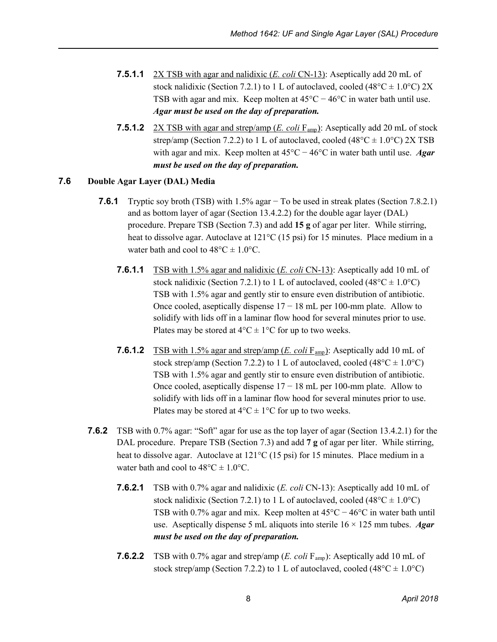- **7.5.1.1** 2X TSB with agar and nalidixic (*E. coli* CN-13): Aseptically add 20 mL of stock nalidixic (Section 7.2.1) to 1 L of autoclaved, cooled (48 $^{\circ}$ C  $\pm$  1.0 $^{\circ}$ C) 2X TSB with agar and mix. Keep molten at  $45^{\circ}$ C –  $46^{\circ}$ C in water bath until use. *Agar must be used on the day of preparation.*
- **7.5.1.2** 2X TSB with agar and strep/amp (*E. coli*  $F_{\text{amp}}$ ): Aseptically add 20 mL of stock strep/amp (Section 7.2.2) to 1 L of autoclaved, cooled (48 $^{\circ}$ C  $\pm$  1.0 $^{\circ}$ C) 2X TSB with agar and mix. Keep molten at 45°C − 46°C in water bath until use. *Agar must be used on the day of preparation.*

#### **7.6 Double Agar Layer (DAL) Media**

- **7.6.1** Tryptic soy broth (TSB) with 1.5% agar − To be used in streak plates (Section 7.8.2.1) and as bottom layer of agar (Section 13.4.2.2) for the double agar layer (DAL) procedure. Prepare TSB (Section 7.3) and add **15 g** of agar per liter. While stirring, heat to dissolve agar. Autoclave at  $121^{\circ}$ C (15 psi) for 15 minutes. Place medium in a water bath and cool to  $48^{\circ}$ C  $\pm$  1.0°C.
	- **7.6.1.1** TSB with 1.5% agar and nalidixic (*E. coli* CN-13): Aseptically add 10 mL of stock nalidixic (Section 7.2.1) to 1 L of autoclaved, cooled (48 $^{\circ}$ C  $\pm$  1.0 $^{\circ}$ C) TSB with 1.5% agar and gently stir to ensure even distribution of antibiotic. Once cooled, aseptically dispense  $17 - 18$  mL per 100-mm plate. Allow to solidify with lids off in a laminar flow hood for several minutes prior to use. Plates may be stored at  $4^{\circ}C \pm 1^{\circ}C$  for up to two weeks.
	- **7.6.1.2** TSB with 1.5% agar and strep/amp (*E. coli*  $F_{\text{amp}}$ ): Aseptically add 10 mL of stock strep/amp (Section 7.2.2) to 1 L of autoclaved, cooled (48 $^{\circ}$ C  $\pm$  1.0 $^{\circ}$ C) TSB with 1.5% agar and gently stir to ensure even distribution of antibiotic. Once cooled, aseptically dispense  $17 - 18$  mL per 100-mm plate. Allow to solidify with lids off in a laminar flow hood for several minutes prior to use. Plates may be stored at  $4^{\circ}C \pm 1^{\circ}C$  for up to two weeks.
- **7.6.2** TSB with 0.7% agar: "Soft" agar for use as the top layer of agar (Section 13.4.2.1) for the DAL procedure. Prepare TSB (Section 7.3) and add **7 g** of agar per liter. While stirring, heat to dissolve agar. Autoclave at 121<sup>o</sup>C (15 psi) for 15 minutes. Place medium in a water bath and cool to  $48^{\circ}$ C  $\pm$  1.0°C.
	- **7.6.2.1** TSB with 0.7% agar and nalidixic (*E. coli* CN-13): Aseptically add 10 mL of stock nalidixic (Section 7.2.1) to 1 L of autoclaved, cooled (48 $^{\circ}$ C  $\pm$  1.0 $^{\circ}$ C) TSB with 0.7% agar and mix. Keep molten at 45°C − 46°C in water bath until use. Aseptically dispense 5 mL aliquots into sterile 16 × 125 mm tubes. *Agar must be used on the day of preparation.*
	- **7.6.2.2** TSB with 0.7% agar and strep/amp (*E. coli* Famp): Aseptically add 10 mL of stock strep/amp (Section 7.2.2) to 1 L of autoclaved, cooled  $(48^{\circ}C \pm 1.0^{\circ}C)$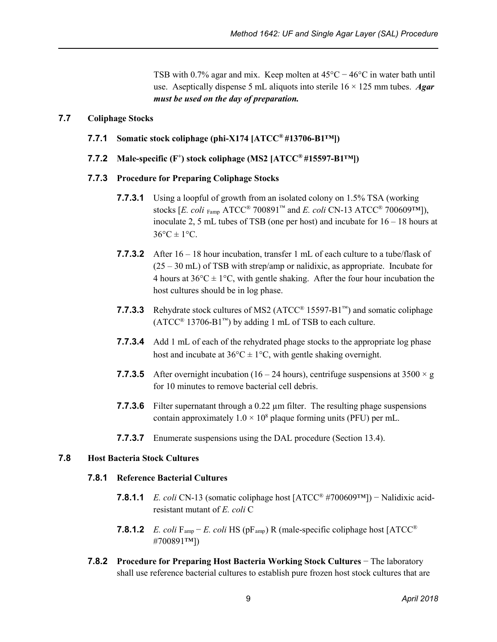TSB with 0.7% agar and mix. Keep molten at  $45^{\circ}C - 46^{\circ}C$  in water bath until use. Aseptically dispense 5 mL aliquots into sterile 16 × 125 mm tubes. *Agar must be used on the day of preparation.*

#### **7.7 Coliphage Stocks**

- **7.7.1 Somatic stock coliphage (phi-X174 [ATCC® #13706-B1™])**
- **7.7.2 Male-specific**  $(F^+)$  **stock coliphage (MS2 [ATCC® #15597-B1W])**

#### **7.7.3 Procedure for Preparing Coliphage Stocks**

- **7.7.3.1** Using a loopful of growth from an isolated colony on 1.5% TSA (working stocks [*E. coli* Famp ATCC® 700891™ and *E. coli* CN-13 ATCC® 700609™]), inoculate 2, 5 mL tubes of TSB (one per host) and incubate for 16 – 18 hours at  $36^{\circ}$ C  $\pm$  1°C.
- **7.7.3.2** After 16 18 hour incubation, transfer 1 mL of each culture to a tube/flask of  $(25 – 30$  mL) of TSB with strep/amp or nalidixic, as appropriate. Incubate for 4 hours at  $36^{\circ}$ C  $\pm$  1°C, with gentle shaking. After the four hour incubation the host cultures should be in log phase.
- **7.7.3.3** Rehydrate stock cultures of MS2 (ATCC® 15597-B1™) and somatic coliphage  $(ATCC^{\circledast} 13706-B1^{\rm TM})$  by adding 1 mL of TSB to each culture.
- **7.7.3.4** Add 1 mL of each of the rehydrated phage stocks to the appropriate log phase host and incubate at  $36^{\circ}C \pm 1^{\circ}C$ , with gentle shaking overnight.
- **7.7.3.5** After overnight incubation (16 24 hours), centrifuge suspensions at  $3500 \times g$ for 10 minutes to remove bacterial cell debris.
- **7.7.3.6** Filter supernatant through a 0.22 µm filter. The resulting phage suspensions contain approximately  $1.0 \times 10^8$  plaque forming units (PFU) per mL.
- **7.7.3.7** Enumerate suspensions using the DAL procedure (Section 13.4).

#### **7.8 Host Bacteria Stock Cultures**

#### **7.8.1 Reference Bacterial Cultures**

- **7.8.1.1** *E. coli* CN-13 (somatic coliphage host [ATCC® #700609™]) − Nalidixic acidresistant mutant of *E. coli* C
- **7.8.1.2** *E. coli* F<sub>amp</sub> − *E. coli* HS (pF<sub>amp</sub>) R (male-specific coliphage host  $[ATCC^{\circledR}$ #700891™])
- **7.8.2 Procedure for Preparing Host Bacteria Working Stock Cultures − The laboratory** shall use reference bacterial cultures to establish pure frozen host stock cultures that are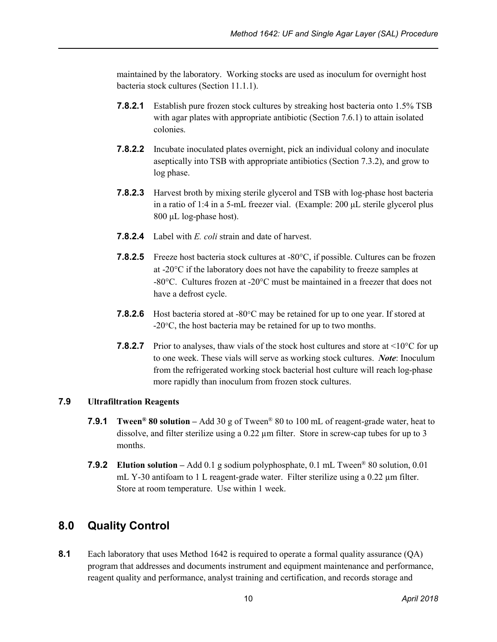maintained by the laboratory. Working stocks are used as inoculum for overnight host bacteria stock cultures (Section 11.1.1).

- **7.8.2.1** Establish pure frozen stock cultures by streaking host bacteria onto 1.5% TSB with agar plates with appropriate antibiotic (Section 7.6.1) to attain isolated colonies.
- **7.8.2.2** Incubate inoculated plates overnight, pick an individual colony and inoculate aseptically into TSB with appropriate antibiotics (Section 7.3.2), and grow to log phase.
- **7.8.2.3** Harvest broth by mixing sterile glycerol and TSB with log-phase host bacteria in a ratio of 1:4 in a 5-mL freezer vial. (Example: 200 μL sterile glycerol plus 800 μL log-phase host).
- **7.8.2.4** Label with *E. coli* strain and date of harvest.
- **7.8.2.5** Freeze host bacteria stock cultures at -80°C, if possible. Cultures can be frozen at -20°C if the laboratory does not have the capability to freeze samples at -80°C. Cultures frozen at -20°C must be maintained in a freezer that does not have a defrost cycle.
- **7.8.2.6** Host bacteria stored at -80°C may be retained for up to one year. If stored at -20°C, the host bacteria may be retained for up to two months.
- **7.8.2.7** Prior to analyses, thaw vials of the stock host cultures and store at  $\leq 10^{\circ}$ C for up to one week. These vials will serve as working stock cultures. *Note*: Inoculum from the refrigerated working stock bacterial host culture will reach log-phase more rapidly than inoculum from frozen stock cultures.

#### **7.9 Ultrafiltration Reagents**

- **7.9.1 Tween® 80 solution –** Add 30 g of Tween® 80 to 100 mL of reagent-grade water, heat to dissolve, and filter sterilize using a 0.22 µm filter. Store in screw-cap tubes for up to 3 months.
- **7.9.2 Elution solution –** Add 0.1 g sodium polyphosphate, 0.1 mL Tween® 80 solution, 0.01 mL Y-30 antifoam to 1 L reagent-grade water. Filter sterilize using a 0.22  $\mu$ m filter. Store at room temperature. Use within 1 week.

### <span id="page-15-0"></span>**8.0 Quality Control**

**8.1** Each laboratory that uses Method 1642 is required to operate a formal quality assurance (QA) program that addresses and documents instrument and equipment maintenance and performance, reagent quality and performance, analyst training and certification, and records storage and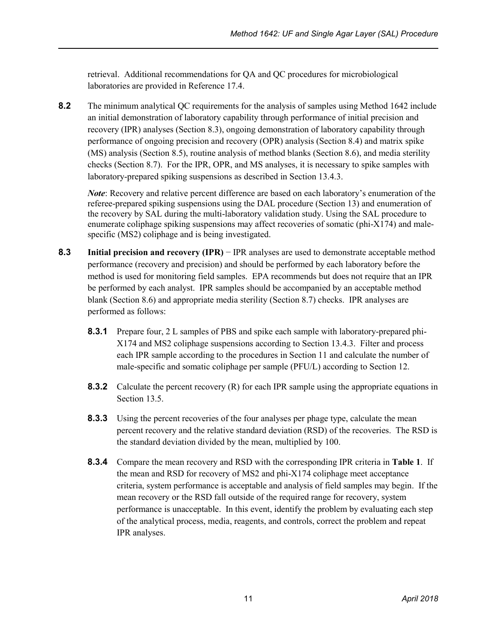retrieval. Additional recommendations for QA and QC procedures for microbiological laboratories are provided in Reference 17.4.

**8.2** The minimum analytical QC requirements for the analysis of samples using Method 1642 include an initial demonstration of laboratory capability through performance of initial precision and recovery (IPR) analyses (Section 8.3), ongoing demonstration of laboratory capability through performance of ongoing precision and recovery (OPR) analysis (Section 8.4) and matrix spike (MS) analysis (Section 8.5), routine analysis of method blanks (Section 8.6), and media sterility checks (Section 8.7). For the IPR, OPR, and MS analyses, it is necessary to spike samples with laboratory-prepared spiking suspensions as described in Section 13.4.3.

*Note*: Recovery and relative percent difference are based on each laboratory's enumeration of the referee-prepared spiking suspensions using the DAL procedure (Section 13) and enumeration of the recovery by SAL during the multi-laboratory validation study. Using the SAL procedure to enumerate coliphage spiking suspensions may affect recoveries of somatic (phi- $X174$ ) and malespecific (MS2) coliphage and is being investigated.

- **8.3 Initial precision and recovery (IPR)** − IPR analyses are used to demonstrate acceptable method performance (recovery and precision) and should be performed by each laboratory before the method is used for monitoring field samples. EPA recommends but does not require that an IPR be performed by each analyst. IPR samples should be accompanied by an acceptable method blank (Section 8.6) and appropriate media sterility (Section 8.7) checks. IPR analyses are performed as follows:
	- **8.3.1** Prepare four, 2 L samples of PBS and spike each sample with laboratory-prepared phi-X174 and MS2 coliphage suspensions according to Section 13.4.3. Filter and process each IPR sample according to the procedures in Section 11 and calculate the number of male-specific and somatic coliphage per sample (PFU/L) according to Section 12.
	- **8.3.2** Calculate the percent recovery (R) for each IPR sample using the appropriate equations in Section 13.5.
	- **8.3.3** Using the percent recoveries of the four analyses per phage type, calculate the mean percent recovery and the relative standard deviation (RSD) of the recoveries. The RSD is the standard deviation divided by the mean, multiplied by 100.
	- **8.3.4** Compare the mean recovery and RSD with the corresponding IPR criteria in **Table 1**. If the mean and RSD for recovery of MS2 and phi-X174 coliphage meet acceptance criteria, system performance is acceptable and analysis of field samples may begin. If the mean recovery or the RSD fall outside of the required range for recovery, system performance is unacceptable. In this event, identify the problem by evaluating each step of the analytical process, media, reagents, and controls, correct the problem and repeat IPR analyses.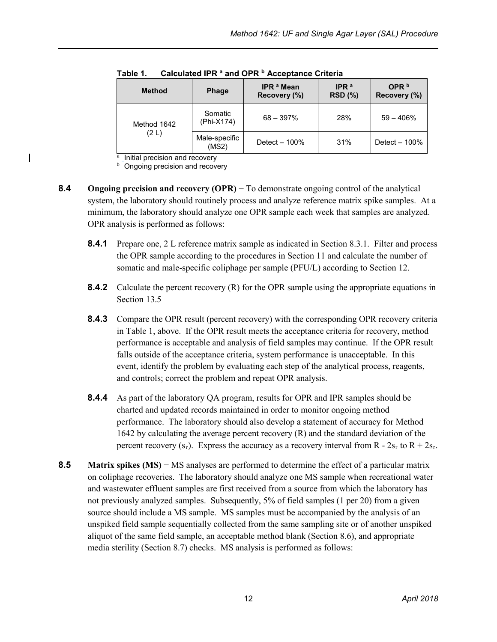| <b>Method</b> | <b>Phage</b>           | <b>IPR ª Mean</b><br>Recovery (%) | IPR $a$<br><b>RSD</b> (%) | OPR $b$<br>Recovery (%) |
|---------------|------------------------|-----------------------------------|---------------------------|-------------------------|
| Method 1642   | Somatic<br>(Phi-X174)  | $68 - 397\%$                      | 28%                       | $59 - 406%$             |
| (2 L)         | Male-specific<br>(MS2) | Detect - 100%                     | 31%                       | Detect $-100\%$         |

**Table 1. Calculated IPR <sup>a</sup> and OPR <sup>b</sup> Acceptance Criteria**

 $a$  Initial precision and recovery

**Ongoing precision and recovery** 

- **8.4 Ongoing precision and recovery (OPR)** − To demonstrate ongoing control of the analytical system, the laboratory should routinely process and analyze reference matrix spike samples. At a minimum, the laboratory should analyze one OPR sample each week that samples are analyzed. OPR analysis is performed as follows:
	- **8.4.1** Prepare one, 2 L reference matrix sample as indicated in Section 8.3.1. Filter and process the OPR sample according to the procedures in Section 11 and calculate the number of somatic and male-specific coliphage per sample (PFU/L) according to Section 12.
	- **8.4.2** Calculate the percent recovery (R) for the OPR sample using the appropriate equations in Section 13.5
	- **8.4.3** Compare the OPR result (percent recovery) with the corresponding OPR recovery criteria in Table 1, above. If the OPR result meets the acceptance criteria for recovery, method performance is acceptable and analysis of field samples may continue. If the OPR result falls outside of the acceptance criteria, system performance is unacceptable. In this event, identify the problem by evaluating each step of the analytical process, reagents, and controls; correct the problem and repeat OPR analysis.
	- **8.4.4** As part of the laboratory QA program, results for OPR and IPR samples should be charted and updated records maintained in order to monitor ongoing method performance. The laboratory should also develop a statement of accuracy for Method 1642 by calculating the average percent recovery (R) and the standard deviation of the percent recovery ( $s_r$ ). Express the accuracy as a recovery interval from R -  $2s_r$  to R +  $2s_r$ .
- **8.5 Matrix spikes (MS)** − MS analyses are performed to determine the effect of a particular matrix on coliphage recoveries. The laboratory should analyze one MS sample when recreational water and wastewater effluent samples are first received from a source from which the laboratory has not previously analyzed samples. Subsequently, 5% of field samples (1 per 20) from a given source should include a MS sample. MS samples must be accompanied by the analysis of an unspiked field sample sequentially collected from the same sampling site or of another unspiked aliquot of the same field sample, an acceptable method blank (Section 8.6), and appropriate media sterility (Section 8.7) checks. MS analysis is performed as follows: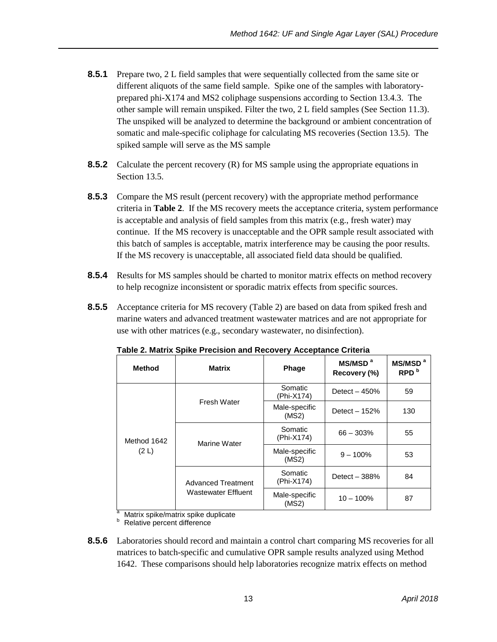- **8.5.1** Prepare two, 2 L field samples that were sequentially collected from the same site or different aliquots of the same field sample. Spike one of the samples with laboratoryprepared phi-X174 and MS2 coliphage suspensions according to Section 13.4.3. The other sample will remain unspiked. Filter the two, 2 L field samples (See Section 11.3). The unspiked will be analyzed to determine the background or ambient concentration of somatic and male-specific coliphage for calculating MS recoveries (Section 13.5). The spiked sample will serve as the MS sample
- **8.5.2** Calculate the percent recovery (R) for MS sample using the appropriate equations in Section 13.5.
- **8.5.3** Compare the MS result (percent recovery) with the appropriate method performance criteria in **Table 2**. If the MS recovery meets the acceptance criteria, system performance is acceptable and analysis of field samples from this matrix (e.g., fresh water) may continue. If the MS recovery is unacceptable and the OPR sample result associated with this batch of samples is acceptable, matrix interference may be causing the poor results. If the MS recovery is unacceptable, all associated field data should be qualified.
- **8.5.4** Results for MS samples should be charted to monitor matrix effects on method recovery to help recognize inconsistent or sporadic matrix effects from specific sources.
- **8.5.5** Acceptance criteria for MS recovery (Table 2) are based on data from spiked fresh and marine waters and advanced treatment wastewater matrices and are not appropriate for use with other matrices (e.g., secondary wastewater, no disinfection).

| <b>Method</b> | <b>Matrix</b>                                                    | <b>Phage</b>           | MS/MSD <sup>a</sup><br>Recovery (%) | MS/MSD <sup>a</sup><br>RPD <sup>b</sup> |
|---------------|------------------------------------------------------------------|------------------------|-------------------------------------|-----------------------------------------|
|               |                                                                  | Somatic<br>(Phi-X174)  | Detect $-450%$                      | 59                                      |
|               | Fresh Water                                                      | Male-specific<br>(MS2) | Detect $-152%$                      | 130                                     |
| Method 1642   | Marine Water<br><b>Advanced Treatment</b><br>Wastewater Effluent | Somatic<br>(Phi-X174)  | $66 - 303%$                         | 55                                      |
| (2 L)         |                                                                  | Male-specific<br>(MS2) | $9 - 100\%$                         | 53                                      |
|               |                                                                  | Somatic<br>(Phi-X174)  | Detect $-388%$                      | 84                                      |
|               |                                                                  | Male-specific<br>(MS2) | $10 - 100\%$                        | 87                                      |

**Table 2. Matrix Spike Precision and Recovery Acceptance Criteria**

 $\frac{a}{b}$  Matrix spike/matrix spike duplicate<br>  $b$  Relative percent difference

**8.5.6** Laboratories should record and maintain a control chart comparing MS recoveries for all matrices to batch-specific and cumulative OPR sample results analyzed using Method 1642. These comparisons should help laboratories recognize matrix effects on method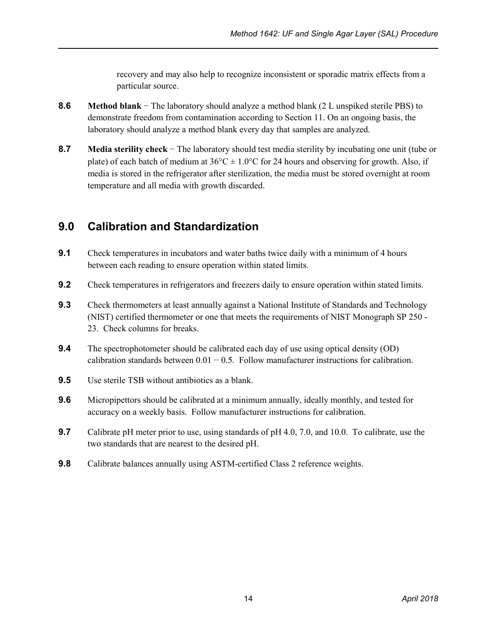recovery and may also help to recognize inconsistent or sporadic matrix effects from a particular source.

- **8.6 Method blank** − The laboratory should analyze a method blank (2 L unspiked sterile PBS) to demonstrate freedom from contamination according to Section 11. On an ongoing basis, the laboratory should analyze a method blank every day that samples are analyzed.
- **8.7 Media sterility check** − The laboratory should test media sterility by incubating one unit (tube or plate) of each batch of medium at  $36^{\circ}\text{C} \pm 1.0^{\circ}\text{C}$  for 24 hours and observing for growth. Also, if media is stored in the refrigerator after sterilization, the media must be stored overnight at room temperature and all media with growth discarded.

### <span id="page-19-0"></span>**9.0 Calibration and Standardization**

- **9.1** Check temperatures in incubators and water baths twice daily with a minimum of 4 hours between each reading to ensure operation within stated limits.
- **9.2** Check temperatures in refrigerators and freezers daily to ensure operation within stated limits.
- **9.3** Check thermometers at least annually against a National Institute of Standards and Technology (NIST) certified thermometer or one that meets the requirements of NIST Monograph SP 250 - 23. Check columns for breaks.
- **9.4** The spectrophotometer should be calibrated each day of use using optical density (OD) calibration standards between  $0.01 - 0.5$ . Follow manufacturer instructions for calibration.
- **9.5** Use sterile TSB without antibiotics as a blank.
- **9.6** Micropipettors should be calibrated at a minimum annually, ideally monthly, and tested for accuracy on a weekly basis. Follow manufacturer instructions for calibration.
- **9.7** Calibrate pH meter prior to use, using standards of pH 4.0, 7.0, and 10.0. To calibrate, use the two standards that are nearest to the desired pH.
- **9.8** Calibrate balances annually using ASTM-certified Class 2 reference weights.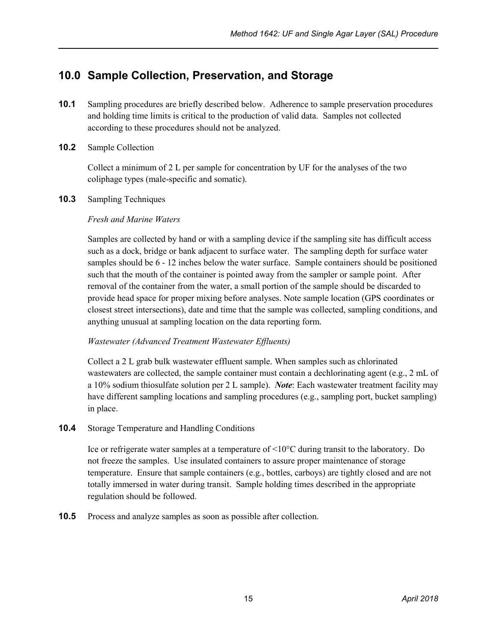### <span id="page-20-0"></span>**10.0 Sample Collection, Preservation, and Storage**

- **10.1** Sampling procedures are briefly described below. Adherence to sample preservation procedures and holding time limits is critical to the production of valid data. Samples not collected according to these procedures should not be analyzed.
- **10.2** Sample Collection

Collect a minimum of 2 L per sample for concentration by UF for the analyses of the two coliphage types (male-specific and somatic).

**10.3** Sampling Techniques

#### *Fresh and Marine Waters*

Samples are collected by hand or with a sampling device if the sampling site has difficult access such as a dock, bridge or bank adjacent to surface water. The sampling depth for surface water samples should be 6 - 12 inches below the water surface. Sample containers should be positioned such that the mouth of the container is pointed away from the sampler or sample point. After removal of the container from the water, a small portion of the sample should be discarded to provide head space for proper mixing before analyses. Note sample location (GPS coordinates or closest street intersections), date and time that the sample was collected, sampling conditions, and anything unusual at sampling location on the data reporting form.

#### *Wastewater (Advanced Treatment Wastewater Effluents)*

Collect a 2 L grab bulk wastewater effluent sample. When samples such as chlorinated wastewaters are collected, the sample container must contain a dechlorinating agent (e.g., 2 mL of a 10% sodium thiosulfate solution per 2 L sample). *Note*: Each wastewater treatment facility may have different sampling locations and sampling procedures (e.g., sampling port, bucket sampling) in place.

**10.4** Storage Temperature and Handling Conditions

Ice or refrigerate water samples at a temperature of <10°C during transit to the laboratory. Do not freeze the samples. Use insulated containers to assure proper maintenance of storage temperature. Ensure that sample containers (e.g., bottles, carboys) are tightly closed and are not totally immersed in water during transit. Sample holding times described in the appropriate regulation should be followed.

**10.5** Process and analyze samples as soon as possible after collection.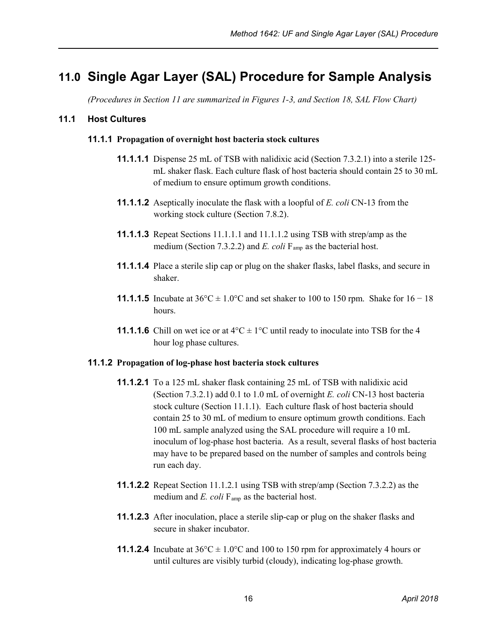# <span id="page-21-0"></span>**11.0 Single Agar Layer (SAL) Procedure for Sample Analysis**

*(Procedures in Section 11 are summarized in Figures 1-3, and Section 18, SAL Flow Chart)*

#### **11.1 Host Cultures**

#### **11.1.1 Propagation of overnight host bacteria stock cultures**

- **11.1.1.1** Dispense 25 mL of TSB with nalidixic acid (Section 7.3.2.1) into a sterile 125 mL shaker flask. Each culture flask of host bacteria should contain 25 to 30 mL of medium to ensure optimum growth conditions.
- **11.1.1.2** Aseptically inoculate the flask with a loopful of *E. coli* CN-13 from the working stock culture (Section 7.8.2).
- **11.1.1.3** Repeat Sections 11.1.1.1 and 11.1.1.2 using TSB with strep/amp as the medium (Section 7.3.2.2) and *E. coli*  $F_{\text{amp}}$  as the bacterial host.
- **11.1.1.4** Place a sterile slip cap or plug on the shaker flasks, label flasks, and secure in shaker.
- **11.1.1.5** Incubate at  $36^{\circ}\text{C} \pm 1.0^{\circ}\text{C}$  and set shaker to 100 to 150 rpm. Shake for  $16 18$ hours.
- **11.1.1.6** Chill on wet ice or at  $4^{\circ}C \pm 1^{\circ}C$  until ready to inoculate into TSB for the 4 hour log phase cultures.

#### **11.1.2 Propagation of log-phase host bacteria stock cultures**

- **11.1.2.1** To a 125 mL shaker flask containing 25 mL of TSB with nalidixic acid (Section 7.3.2.1) add 0.1 to 1.0 mL of overnight *E. coli* CN-13 host bacteria stock culture (Section 11.1.1). Each culture flask of host bacteria should contain 25 to 30 mL of medium to ensure optimum growth conditions. Each 100 mL sample analyzed using the SAL procedure will require a 10 mL inoculum of log-phase host bacteria. As a result, several flasks of host bacteria may have to be prepared based on the number of samples and controls being run each day.
- **11.1.2.2** Repeat Section 11.1.2.1 using TSB with strep/amp (Section 7.3.2.2) as the medium and *E. coli* F<sub>amp</sub> as the bacterial host.
- **11.1.2.3** After inoculation, place a sterile slip-cap or plug on the shaker flasks and secure in shaker incubator.
- **11.1.2.4** Incubate at  $36^{\circ}\text{C} \pm 1.0^{\circ}\text{C}$  and 100 to 150 rpm for approximately 4 hours or until cultures are visibly turbid (cloudy), indicating log-phase growth.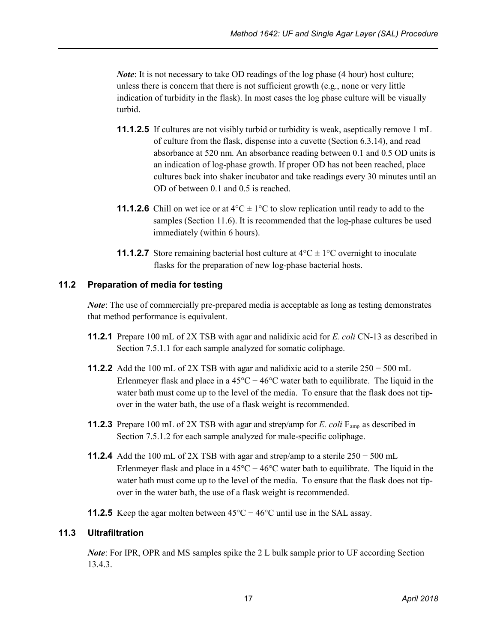*Note*: It is not necessary to take OD readings of the log phase (4 hour) host culture; unless there is concern that there is not sufficient growth (e.g., none or very little indication of turbidity in the flask). In most cases the log phase culture will be visually turbid.

- **11.1.2.5** If cultures are not visibly turbid or turbidity is weak, aseptically remove 1 mL of culture from the flask, dispense into a cuvette (Section 6.3.14), and read absorbance at 520 nm. An absorbance reading between 0.1 and 0.5 OD units is an indication of log-phase growth. If proper OD has not been reached, place cultures back into shaker incubator and take readings every 30 minutes until an OD of between 0.1 and 0.5 is reached.
- **11.1.2.6** Chill on wet ice or at  $4^{\circ}C \pm 1^{\circ}C$  to slow replication until ready to add to the samples (Section 11.6). It is recommended that the log-phase cultures be used immediately (within 6 hours).
- **11.1.2.7** Store remaining bacterial host culture at  $4^{\circ}C \pm 1^{\circ}C$  overnight to inoculate flasks for the preparation of new log-phase bacterial hosts.

#### **11.2 Preparation of media for testing**

*Note*: The use of commercially pre-prepared media is acceptable as long as testing demonstrates that method performance is equivalent.

- **11.2.1** Prepare 100 mL of 2X TSB with agar and nalidixic acid for *E. coli* CN-13 as described in Section 7.5.1.1 for each sample analyzed for somatic coliphage.
- **11.2.2** Add the 100 mL of 2X TSB with agar and nalidixic acid to a sterile  $250 500$  mL Erlenmeyer flask and place in a 45°C − 46°C water bath to equilibrate. The liquid in the water bath must come up to the level of the media. To ensure that the flask does not tipover in the water bath, the use of a flask weight is recommended.
- **11.2.3** Prepare 100 mL of 2X TSB with agar and strep/amp for *E. coli* F<sub>amp</sub> as described in Section 7.5.1.2 for each sample analyzed for male-specific coliphage.
- **11.2.4** Add the 100 mL of 2X TSB with agar and strep/amp to a sterile  $250 500$  mL Erlenmeyer flask and place in a  $45^{\circ}$ C −  $46^{\circ}$ C water bath to equilibrate. The liquid in the water bath must come up to the level of the media. To ensure that the flask does not tipover in the water bath, the use of a flask weight is recommended.

**11.2.5** Keep the agar molten between  $45^{\circ}C - 46^{\circ}C$  until use in the SAL assay.

#### **11.3 Ultrafiltration**

*Note*: For IPR, OPR and MS samples spike the 2 L bulk sample prior to UF according Section 13.4.3.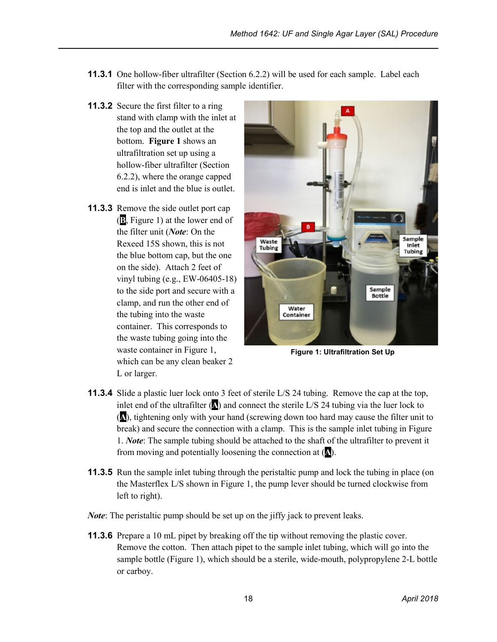- **11.3.1** One hollow-fiber ultrafilter (Section 6.2.2) will be used for each sample. Label each filter with the corresponding sample identifier.
- **11.3.2** Secure the first filter to a ring stand with clamp with the inlet at the top and the outlet at the bottom. **Figure 1** shows an ultrafiltration set up using a hollow-fiber ultrafilter (Section 6.2.2), where the orange capped end is inlet and the blue is outlet.
- **11.3.3** Remove the side outlet port cap (**B**, Figure 1) at the lower end of the filter unit (*Note*: On the Rexeed 15S shown, this is not the blue bottom cap, but the one on the side). Attach 2 feet of vinyl tubing (e.g., EW-06405-18) to the side port and secure with a clamp, and run the other end of the tubing into the waste container. This corresponds to the waste tubing going into the waste container in Figure 1, which can be any clean beaker 2 L or larger.



**Figure 1: Ultrafiltration Set Up**

- **11.3.4** Slide a plastic luer lock onto 3 feet of sterile L/S 24 tubing. Remove the cap at the top, inlet end of the ultrafilter  $(\triangle)$  and connect the sterile L/S 24 tubing via the luer lock to (**A**), tightening only with your hand (screwing down too hard may cause the filter unit to break) and secure the connection with a clamp. This is the sample inlet tubing in Figure 1. *Note*: The sample tubing should be attached to the shaft of the ultrafilter to prevent it from moving and potentially loosening the connection at (**A**).
- **11.3.5** Run the sample inlet tubing through the peristaltic pump and lock the tubing in place (on the Masterflex L/S shown in Figure 1, the pump lever should be turned clockwise from left to right).
- *Note*: The peristaltic pump should be set up on the jiffy jack to prevent leaks.
- **11.3.6** Prepare a 10 mL pipet by breaking off the tip without removing the plastic cover. Remove the cotton. Then attach pipet to the sample inlet tubing, which will go into the sample bottle (Figure 1), which should be a sterile, wide-mouth, polypropylene 2-L bottle or carboy.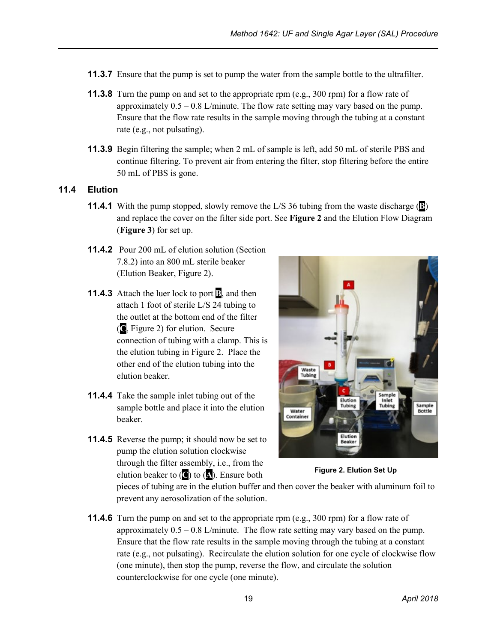- **11.3.7** Ensure that the pump is set to pump the water from the sample bottle to the ultrafilter.
- **11.3.8** Turn the pump on and set to the appropriate rpm (e.g., 300 rpm) for a flow rate of approximately  $0.5 - 0.8$  L/minute. The flow rate setting may vary based on the pump. Ensure that the flow rate results in the sample moving through the tubing at a constant rate (e.g., not pulsating).
- **11.3.9** Begin filtering the sample; when 2 mL of sample is left, add 50 mL of sterile PBS and continue filtering. To prevent air from entering the filter, stop filtering before the entire 50 mL of PBS is gone.

#### **11.4 Elution**

- **11.4.1** With the pump stopped, slowly remove the L/S 36 tubing from the waste discharge (**B**) and replace the cover on the filter side port. See **Figure 2** and the Elution Flow Diagram (**Figure 3**) for set up.
- **11.4.2** Pour 200 mL of elution solution (Section 7.8.2) into an 800 mL sterile beaker (Elution Beaker, Figure 2).
- **11.4.3** Attach the luer lock to port **B**, and then attach 1 foot of sterile L/S 24 tubing to the outlet at the bottom end of the filter (**C**, Figure 2) for elution. Secure connection of tubing with a clamp. This is the elution tubing in Figure 2. Place the other end of the elution tubing into the elution beaker.
- **11.4.4** Take the sample inlet tubing out of the sample bottle and place it into the elution beaker.
- **11.4.5** Reverse the pump; it should now be set to pump the elution solution clockwise through the filter assembly, i.e., from the elution beaker to (**C**) to (**A**). Ensure both



**Figure 2. Elution Set Up**

pieces of tubing are in the elution buffer and then cover the beaker with aluminum foil to prevent any aerosolization of the solution.

**11.4.6** Turn the pump on and set to the appropriate rpm (e.g., 300 rpm) for a flow rate of approximately  $0.5 - 0.8$  L/minute. The flow rate setting may vary based on the pump. Ensure that the flow rate results in the sample moving through the tubing at a constant rate (e.g., not pulsating). Recirculate the elution solution for one cycle of clockwise flow (one minute), then stop the pump, reverse the flow, and circulate the solution counterclockwise for one cycle (one minute).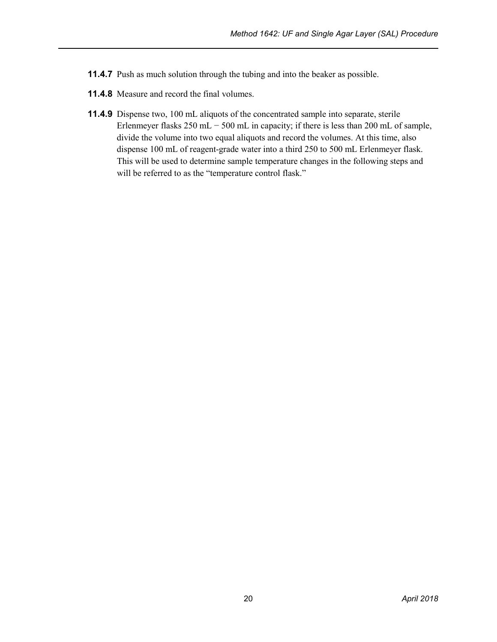- **11.4.7** Push as much solution through the tubing and into the beaker as possible.
- **11.4.8** Measure and record the final volumes.
- **11.4.9** Dispense two, 100 mL aliquots of the concentrated sample into separate, sterile Erlenmeyer flasks 250 mL  $-$  500 mL in capacity; if there is less than 200 mL of sample, divide the volume into two equal aliquots and record the volumes. At this time, also dispense 100 mL of reagent-grade water into a third 250 to 500 mL Erlenmeyer flask. This will be used to determine sample temperature changes in the following steps and will be referred to as the "temperature control flask."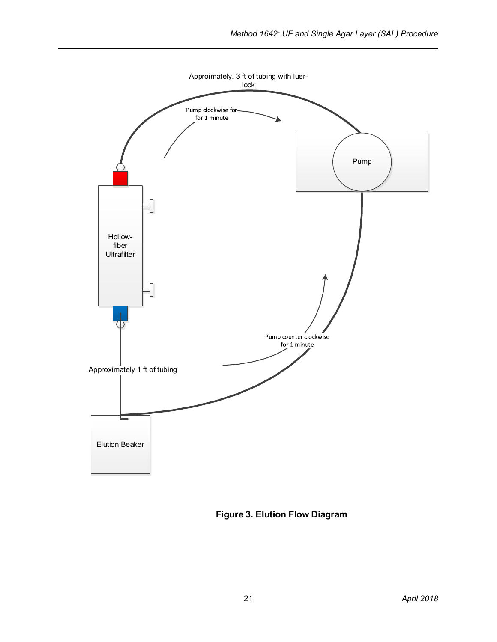

**Figure 3. Elution Flow Diagram**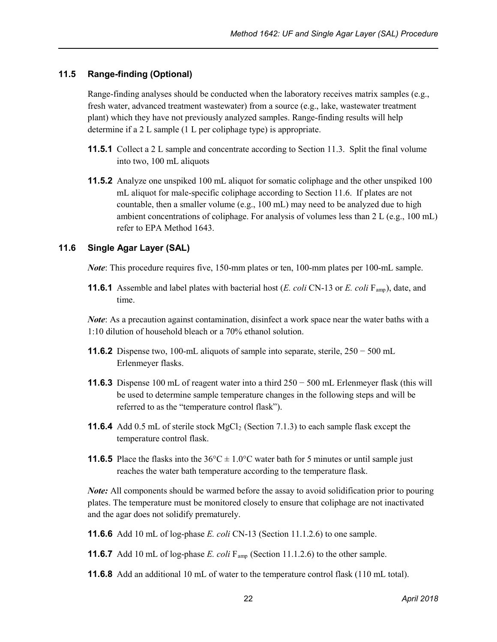#### **11.5 Range-finding (Optional)**

Range-finding analyses should be conducted when the laboratory receives matrix samples (e.g., fresh water, advanced treatment wastewater) from a source (e.g., lake, wastewater treatment plant) which they have not previously analyzed samples. Range-finding results will help determine if a 2 L sample (1 L per coliphage type) is appropriate.

- **11.5.1** Collect a 2 L sample and concentrate according to Section 11.3. Split the final volume into two, 100 mL aliquots
- **11.5.2** Analyze one unspiked 100 mL aliquot for somatic coliphage and the other unspiked 100 mL aliquot for male-specific coliphage according to Section 11.6. If plates are not countable, then a smaller volume  $(e.g., 100 \text{ mL})$  may need to be analyzed due to high ambient concentrations of coliphage. For analysis of volumes less than 2 L (e.g., 100 mL) refer to EPA Method 1643.

#### **11.6 Single Agar Layer (SAL)**

*Note*: This procedure requires five, 150-mm plates or ten, 100-mm plates per 100-mL sample.

**11.6.1** Assemble and label plates with bacterial host (*E. coli* CN-13 or *E. coli* F<sub>amp</sub>), date, and time.

*Note*: As a precaution against contamination, disinfect a work space near the water baths with a 1:10 dilution of household bleach or a 70% ethanol solution.

- **11.6.2** Dispense two, 100-mL aliquots of sample into separate, sterile, 250 − 500 mL Erlenmeyer flasks.
- **11.6.3** Dispense 100 mL of reagent water into a third 250 − 500 mL Erlenmeyer flask (this will be used to determine sample temperature changes in the following steps and will be referred to as the "temperature control flask").
- **11.6.4** Add 0.5 mL of sterile stock  $MgCl_2$  (Section 7.1.3) to each sample flask except the temperature control flask.
- **11.6.5** Place the flasks into the  $36^{\circ}C \pm 1.0^{\circ}C$  water bath for 5 minutes or until sample just reaches the water bath temperature according to the temperature flask.

*Note:* All components should be warmed before the assay to avoid solidification prior to pouring plates. The temperature must be monitored closely to ensure that coliphage are not inactivated and the agar does not solidify prematurely.

- **11.6.6** Add 10 mL of log-phase *E. coli* CN-13 (Section 11.1.2.6) to one sample.
- **11.6.7** Add 10 mL of log-phase *E. coli* F<sub>amp</sub> (Section 11.1.2.6) to the other sample.
- **11.6.8** Add an additional 10 mL of water to the temperature control flask (110 mL total).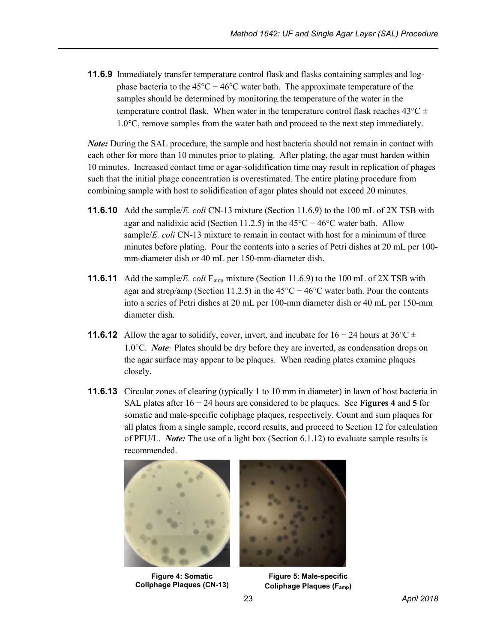**11.6.9** Immediately transfer temperature control flask and flasks containing samples and logphase bacteria to the 45°C − 46°C water bath. The approximate temperature of the samples should be determined by monitoring the temperature of the water in the temperature control flask. When water in the temperature control flask reaches  $43^{\circ}$ C  $\pm$ 1.0°C, remove samples from the water bath and proceed to the next step immediately.

*Note:* During the SAL procedure, the sample and host bacteria should not remain in contact with each other for more than 10 minutes prior to plating. After plating, the agar must harden within 10 minutes. Increased contact time or agar-solidification time may result in replication of phages such that the initial phage concentration is overestimated. The entire plating procedure from combining sample with host to solidification of agar plates should not exceed 20 minutes.

- **11.6.10** Add the sample/*E. coli* CN-13 mixture (Section 11.6.9) to the 100 mL of 2X TSB with agar and nalidixic acid (Section 11.2.5) in the 45°C − 46°C water bath. Allow sample/*E. coli* CN-13 mixture to remain in contact with host for a minimum of three minutes before plating. Pour the contents into a series of Petri dishes at 20 mL per 100 mm-diameter dish or 40 mL per 150-mm-diameter dish.
- **11.6.11** Add the sample/*E. coli* F<sub>amp</sub> mixture (Section 11.6.9) to the 100 mL of 2X TSB with agar and strep/amp (Section 11.2.5) in the 45 $^{\circ}$ C − 46 $^{\circ}$ C water bath. Pour the contents into a series of Petri dishes at 20 mL per 100-mm diameter dish or 40 mL per 150-mm diameter dish.
- **11.6.12** Allow the agar to solidify, cover, invert, and incubate for  $16 24$  hours at  $36^{\circ}\text{C} \pm$ 1.0°C. *Note:* Plates should be dry before they are inverted, as condensation drops on the agar surface may appear to be plaques. When reading plates examine plaques closely.
- **11.6.13** Circular zones of clearing (typically 1 to 10 mm in diameter) in lawn of host bacteria in SAL plates after 16 − 24 hours are considered to be plaques. See **Figures 4** and **5** for somatic and male-specific coliphage plaques, respectively. Count and sum plaques for all plates from a single sample, record results, and proceed to Section 12 for calculation of PFU/L. *Note:* The use of a light box (Section 6.1.12) to evaluate sample results is recommended.



 **Figure 4: Somatic Coliphage Plaques (CN-13)**



**Figure 5: Male-specific Coliphage Plaques (Famp)**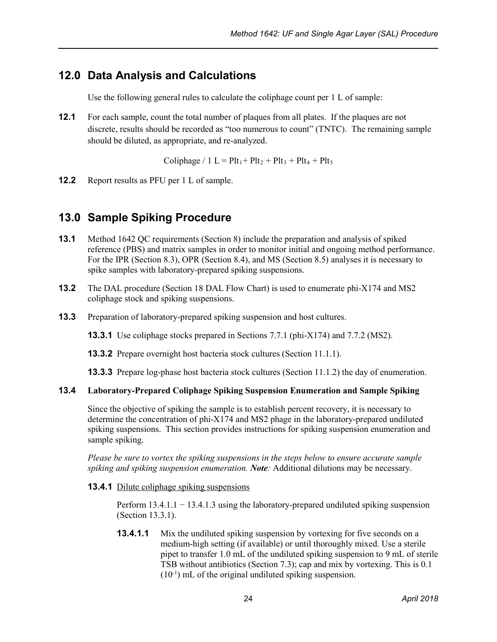### <span id="page-29-0"></span>**12.0 Data Analysis and Calculations**

Use the following general rules to calculate the coliphage count per 1 L of sample:

**12.1** For each sample, count the total number of plaques from all plates. If the plaques are not discrete, results should be recorded as "too numerous to count" (TNTC). The remaining sample should be diluted, as appropriate, and re-analyzed.

Coliphage / 1 L =  $Plt_1 + Plt_2 + Plt_3 + Plt_4 + Plt_5$ 

**12.2** Report results as PFU per 1 L of sample.

### <span id="page-29-1"></span>**13.0 Sample Spiking Procedure**

- **13.1** Method 1642 QC requirements (Section 8) include the preparation and analysis of spiked reference (PBS) and matrix samples in order to monitor initial and ongoing method performance. For the IPR (Section 8.3), OPR (Section 8.4), and MS (Section 8.5) analyses it is necessary to spike samples with laboratory-prepared spiking suspensions.
- **13.2** The DAL procedure (Section 18 DAL Flow Chart) is used to enumerate phi-X174 and MS2 coliphage stock and spiking suspensions.
- **13.3** Preparation of laboratory-prepared spiking suspension and host cultures.

**13.3.1** Use coliphage stocks prepared in Sections 7.7.1 (phi-X174) and 7.7.2 (MS2).

**13.3.2** Prepare overnight host bacteria stock cultures (Section 11.1.1).

**13.3.3** Prepare log-phase host bacteria stock cultures (Section 11.1.2) the day of enumeration.

#### **13.4 Laboratory-Prepared Coliphage Spiking Suspension Enumeration and Sample Spiking**

Since the objective of spiking the sample is to establish percent recovery, it is necessary to determine the concentration of phi-X174 and MS2 phage in the laboratory-prepared undiluted spiking suspensions. This section provides instructions for spiking suspension enumeration and sample spiking.

*Please be sure to vortex the spiking suspensions in the steps below to ensure accurate sample spiking and spiking suspension enumeration. Note:* Additional dilutions may be necessary.

**13.4.1** Dilute coliphage spiking suspensions

Perform 13.4.1.1 − 13.4.1.3 using the laboratory-prepared undiluted spiking suspension (Section 13.3.1).

**13.4.1.1** Mix the undiluted spiking suspension by vortexing for five seconds on a medium-high setting (if available) or until thoroughly mixed. Use a sterile pipet to transfer 1.0 mL of the undiluted spiking suspension to 9 mL of sterile TSB without antibiotics (Section 7.3); cap and mix by vortexing. This is 0.1 (10-1 ) mL of the original undiluted spiking suspension.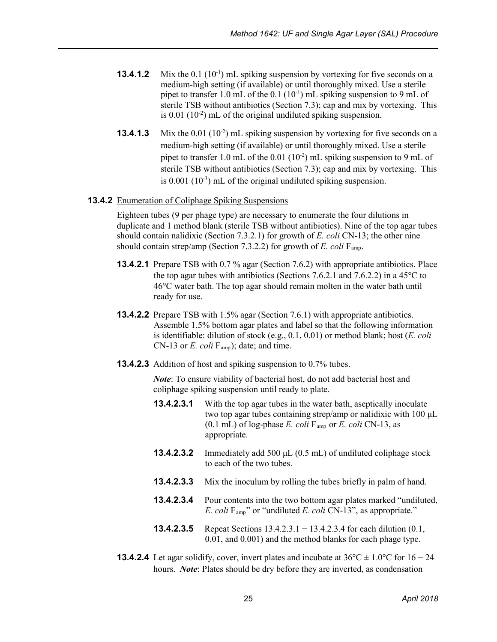- **13.4.1.2** Mix the 0.1 (10<sup>-1</sup>) mL spiking suspension by vortexing for five seconds on a medium-high setting (if available) or until thoroughly mixed. Use a sterile pipet to transfer 1.0 mL of the  $0.1$  ( $10^{-1}$ ) mL spiking suspension to 9 mL of sterile TSB without antibiotics (Section 7.3); cap and mix by vortexing. This is  $0.01$  ( $10<sup>-2</sup>$ ) mL of the original undiluted spiking suspension.
- **13.4.1.3** Mix the  $0.01$  ( $10^{-2}$ ) mL spiking suspension by vortexing for five seconds on a medium-high setting (if available) or until thoroughly mixed. Use a sterile pipet to transfer 1.0 mL of the  $0.01$  ( $10^{-2}$ ) mL spiking suspension to 9 mL of sterile TSB without antibiotics (Section 7.3); cap and mix by vortexing. This is 0.001 (10<sup>-3</sup>) mL of the original undiluted spiking suspension.

#### **13.4.2** Enumeration of Coliphage Spiking Suspensions

Eighteen tubes (9 per phage type) are necessary to enumerate the four dilutions in duplicate and 1 method blank (sterile TSB without antibiotics). Nine of the top agar tubes should contain nalidixic (Section 7.3.2.1) for growth of *E. coli* CN-13; the other nine should contain strep/amp (Section 7.3.2.2) for growth of *E. coli* F<sub>amp</sub>.

- **13.4.2.1** Prepare TSB with 0.7 % agar (Section 7.6.2) with appropriate antibiotics. Place the top agar tubes with antibiotics (Sections 7.6.2.1 and 7.6.2.2) in a 45°C to 46°C water bath. The top agar should remain molten in the water bath until ready for use.
- **13.4.2.2** Prepare TSB with 1.5% agar (Section 7.6.1) with appropriate antibiotics. Assemble 1.5% bottom agar plates and label so that the following information is identifiable: dilution of stock (e.g., 0.1, 0.01) or method blank; host (*E. coli* CN-13 or *E. coli* F<sub>amp</sub>); date; and time.
- **13.4.2.3** Addition of host and spiking suspension to 0.7% tubes.

*Note*: To ensure viability of bacterial host, do not add bacterial host and coliphage spiking suspension until ready to plate.

- **13.4.2.3.1** With the top agar tubes in the water bath, aseptically inoculate two top agar tubes containing strep/amp or nalidixic with 100 μL  $(0.1 \text{ mL})$  of log-phase *E. coli*  $F_{\text{amp}}$  or *E. coli* CN-13, as appropriate.
- **13.4.2.3.2** Immediately add 500 μL (0.5 mL) of undiluted coliphage stock to each of the two tubes.
- **13.4.2.3.3** Mix the inoculum by rolling the tubes briefly in palm of hand.
- **13.4.2.3.4** Pour contents into the two bottom agar plates marked "undiluted, *E. coli* Famp" or "undiluted *E. coli* CN-13", as appropriate."
- **13.4.2.3.5** Repeat Sections 13.4.2.3.1 − 13.4.2.3.4 for each dilution (0.1, 0.01, and 0.001) and the method blanks for each phage type.
- **13.4.2.4** Let agar solidify, cover, invert plates and incubate at  $36^{\circ}\text{C} \pm 1.0^{\circ}\text{C}$  for  $16 24$ hours. *Note*: Plates should be dry before they are inverted, as condensation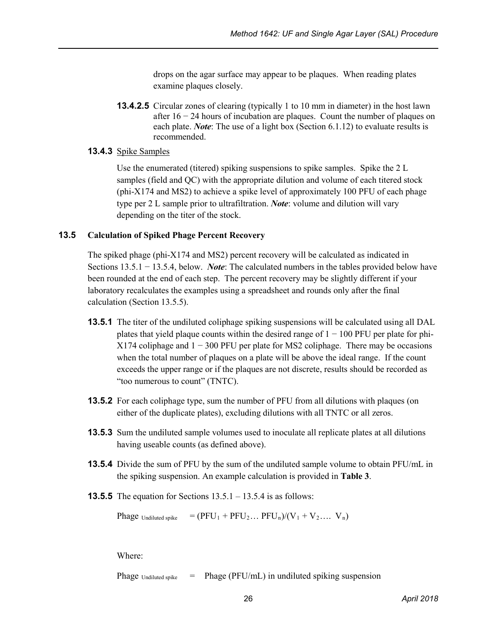drops on the agar surface may appear to be plaques. When reading plates examine plaques closely.

**13.4.2.5** Circular zones of clearing (typically 1 to 10 mm in diameter) in the host lawn after 16 − 24 hours of incubation are plaques. Count the number of plaques on each plate. *Note*: The use of a light box (Section 6.1.12) to evaluate results is recommended.

#### **13.4.3** Spike Samples

Use the enumerated (titered) spiking suspensions to spike samples. Spike the 2 L samples (field and QC) with the appropriate dilution and volume of each titered stock (phi-X174 and MS2) to achieve a spike level of approximately 100 PFU of each phage type per 2 L sample prior to ultrafiltration. *Note*: volume and dilution will vary depending on the titer of the stock.

#### **13.5 Calculation of Spiked Phage Percent Recovery**

The spiked phage (phi-X174 and MS2) percent recovery will be calculated as indicated in Sections 13.5.1 − 13.5.4, below. *Note*: The calculated numbers in the tables provided below have been rounded at the end of each step. The percent recovery may be slightly different if your laboratory recalculates the examples using a spreadsheet and rounds only after the final calculation (Section 13.5.5).

- **13.5.1** The titer of the undiluted coliphage spiking suspensions will be calculated using all DAL plates that yield plaque counts within the desired range of  $1 - 100$  PFU per plate for phi- $X174$  coliphage and  $1 - 300$  PFU per plate for MS2 coliphage. There may be occasions when the total number of plaques on a plate will be above the ideal range. If the count exceeds the upper range or if the plaques are not discrete, results should be recorded as "too numerous to count" (TNTC).
- **13.5.2** For each coliphage type, sum the number of PFU from all dilutions with plaques (on either of the duplicate plates), excluding dilutions with all TNTC or all zeros.
- **13.5.3** Sum the undiluted sample volumes used to inoculate all replicate plates at all dilutions having useable counts (as defined above).
- **13.5.4** Divide the sum of PFU by the sum of the undiluted sample volume to obtain PFU/mL in the spiking suspension. An example calculation is provided in **Table 3**.
- **13.5.5** The equation for Sections 13.5.1 13.5.4 is as follows:

Phage  $U_{\text{indiluted spike}} = (PFU_1 + PFU_2... PFU_n)/(V_1 + V_2... V_n)$ 

Where:

Phage  $_{\text{Undiluted spike}}$  = Phage (PFU/mL) in undiluted spiking suspension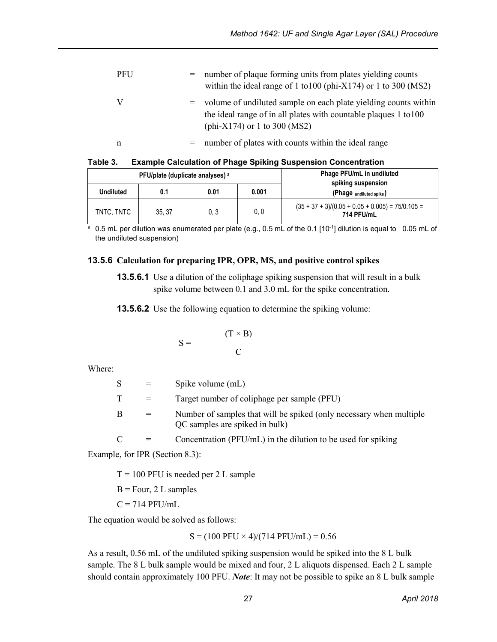| <b>PFU</b> |     | number of plaque forming units from plates yielding counts<br>within the ideal range of 1 to 100 (phi- $X174$ ) or 1 to 300 (MS2)                                       |
|------------|-----|-------------------------------------------------------------------------------------------------------------------------------------------------------------------------|
|            | $=$ | volume of undiluted sample on each plate yielding counts within<br>the ideal range of in all plates with countable plaques 1 to 100<br>(phi- $X174$ ) or 1 to 300 (MS2) |
| n          |     | number of plates with counts within the ideal range                                                                                                                     |

| Table 3. | <b>Example Calculation of Phage Spiking Suspension Concentration</b> |
|----------|----------------------------------------------------------------------|
|----------|----------------------------------------------------------------------|

|                  | PFU/plate (duplicate analyses) a |      | Phage PFU/mL in undiluted |                                                                  |  |
|------------------|----------------------------------|------|---------------------------|------------------------------------------------------------------|--|
| <b>Undiluted</b> | 0.1                              | 0.01 | 0.001                     | spiking suspension<br>(Phage undiluted spike)                    |  |
| TNTC. TNTC       | 35.37                            | 0.3  | 0, 0                      | $(35 + 37 + 3)/(0.05 + 0.05 + 0.005) = 75/0.105 =$<br>714 PFU/mL |  |

 $\frac{a}{a}$  0.5 mL per dilution was enumerated per plate (e.g., 0.5 mL of the 0.1 [10<sup>-1</sup>] dilution is equal to 0.05 mL of the undiluted suspension)

#### **13.5.6 Calculation for preparing IPR, OPR, MS, and positive control spikes**

**13.5.6.1** Use a dilution of the coliphage spiking suspension that will result in a bulk spike volume between 0.1 and 3.0 mL for the spike concentration.

**13.5.6.2** Use the following equation to determine the spiking volume:

$$
S = \frac{(T \times B)}{C}
$$

Where:

| <sup>S</sup> | $=$ | Spike volume (mL)                                                                                     |
|--------------|-----|-------------------------------------------------------------------------------------------------------|
| T            |     | Target number of coliphage per sample (PFU)                                                           |
| B            | $=$ | Number of samples that will be spiked (only necessary when multiple<br>QC samples are spiked in bulk) |
| C            |     | Concentration (PFU/mL) in the dilution to be used for spiking                                         |

Example, for IPR (Section 8.3):

 $T = 100$  PFU is needed per 2 L sample

 $B = Four, 2 L samples$ 

 $C = 714$  PFU/mL

The equation would be solved as follows:

 $S = (100$  PFU  $\times$  4)/(714 PFU/mL) = 0.56

As a result, 0.56 mL of the undiluted spiking suspension would be spiked into the 8 L bulk sample. The 8 L bulk sample would be mixed and four, 2 L aliquots dispensed. Each 2 L sample should contain approximately 100 PFU. *Note*: It may not be possible to spike an 8 L bulk sample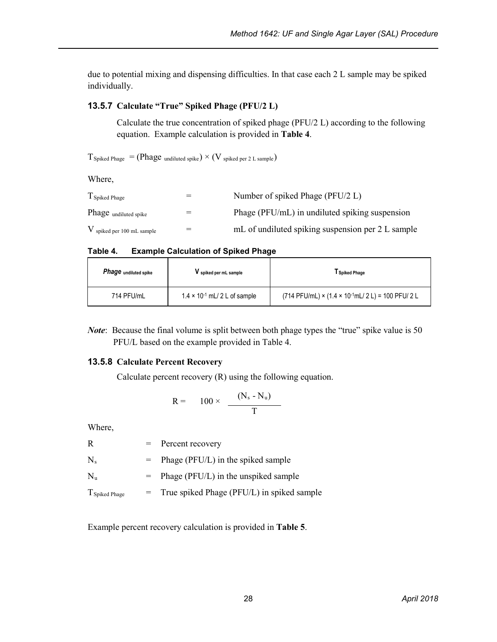due to potential mixing and dispensing difficulties. In that case each 2 L sample may be spiked individually.

#### **13.5.7 Calculate "True" Spiked Phage (PFU/2 L)**

Calculate the true concentration of spiked phage (PFU/2 L) according to the following equation. Example calculation is provided in **Table 4**.

 $T_{\text{Spiked Phase}} = (\text{Phase undiluted spike}) \times (V_{\text{spiked per 2 L sample}})$ 

Where,

| T <sub>Spiked</sub> Phage    | Number of spiked Phage (PFU/2 L)                  |
|------------------------------|---------------------------------------------------|
| Phage undiluted spike        | Phage (PFU/mL) in undiluted spiking suspension    |
| $V$ spiked per 100 mL sample | mL of undiluted spiking suspension per 2 L sample |

 **Table 4. Example Calculation of Spiked Phage**

| Phage <sub>undiluted spike</sub> | V spiked per mL sample                 | Spiked Phage                                                   |
|----------------------------------|----------------------------------------|----------------------------------------------------------------|
| 714 PFU/mL                       | $1.4 \times 10^{-1}$ mL/ 2 L of sample | $(714$ PFU/mL) × $(1.4 \times 10^{-1}$ mL/ 2 L) = 100 PFU/ 2 L |

*Note*: Because the final volume is split between both phage types the "true" spike value is 50 PFU/L based on the example provided in Table 4.

#### **13.5.8 Calculate Percent Recovery**

Calculate percent recovery (R) using the following equation.

$$
R = 100 \times \frac{(N_s - N_u)}{T}
$$

Where,

|                | $=$ Percent recovery                           |
|----------------|------------------------------------------------|
| $N_{s}$        | $=$ Phage (PFU/L) in the spiked sample         |
| $N_{\rm m}$    | $=$ Phage (PFU/L) in the unspiked sample       |
| T Spiked Phage | $=$ True spiked Phage (PFU/L) in spiked sample |

Example percent recovery calculation is provided in **Table 5**.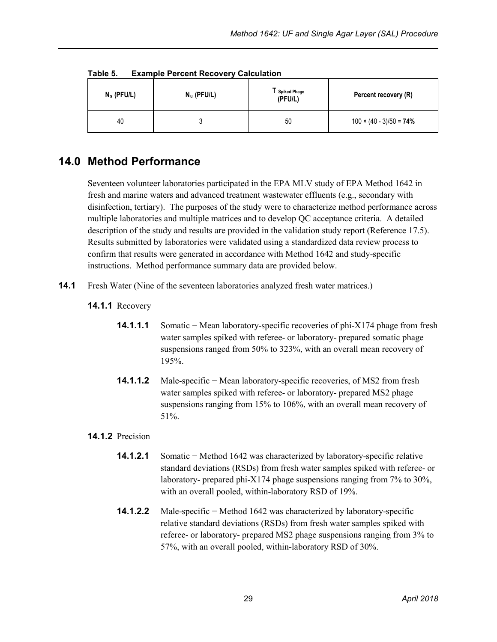| $N_s$ (PFU/L) | <b>EXAMPLE FULLERY NECOVERY CAIGUIATION</b><br>$N_u$ (PFU/L) | <b>Spiked Phage</b><br>(PFU/L) | Percent recovery (R)            |
|---------------|--------------------------------------------------------------|--------------------------------|---------------------------------|
| 40            |                                                              | 50                             | $100 \times (40 - 3)/50 = 74\%$ |

**Table 5. Example Percent Recovery Calculation**

### <span id="page-34-0"></span>**14.0 Method Performance**

Seventeen volunteer laboratories participated in the EPA MLV study of EPA Method 1642 in fresh and marine waters and advanced treatment wastewater effluents (e.g., secondary with disinfection, tertiary). The purposes of the study were to characterize method performance across multiple laboratories and multiple matrices and to develop QC acceptance criteria. A detailed description of the study and results are provided in the validation study report (Reference 17.5). Results submitted by laboratories were validated using a standardized data review process to confirm that results were generated in accordance with Method 1642 and study-specific instructions. Method performance summary data are provided below.

- **14.1** Fresh Water (Nine of the seventeen laboratories analyzed fresh water matrices.)
	- **14.1.1** Recovery
		- **14.1.1.1** Somatic − Mean laboratory-specific recoveries of phi-X174 phage from fresh water samples spiked with referee- or laboratory- prepared somatic phage suspensions ranged from 50% to 323%, with an overall mean recovery of 195%.
		- **14.1.1.2** Male-specific − Mean laboratory-specific recoveries, of MS2 from fresh water samples spiked with referee- or laboratory- prepared MS2 phage suspensions ranging from 15% to 106%, with an overall mean recovery of 51%.

#### **14.1.2** Precision

- **14.1.2.1** Somatic − Method 1642 was characterized by laboratory-specific relative standard deviations (RSDs) from fresh water samples spiked with referee- or laboratory- prepared phi-X174 phage suspensions ranging from 7% to 30%, with an overall pooled, within-laboratory RSD of 19%.
- **14.1.2.2** Male-specific − Method 1642 was characterized by laboratory-specific relative standard deviations (RSDs) from fresh water samples spiked with referee- or laboratory- prepared MS2 phage suspensions ranging from 3% to 57%, with an overall pooled, within-laboratory RSD of 30%.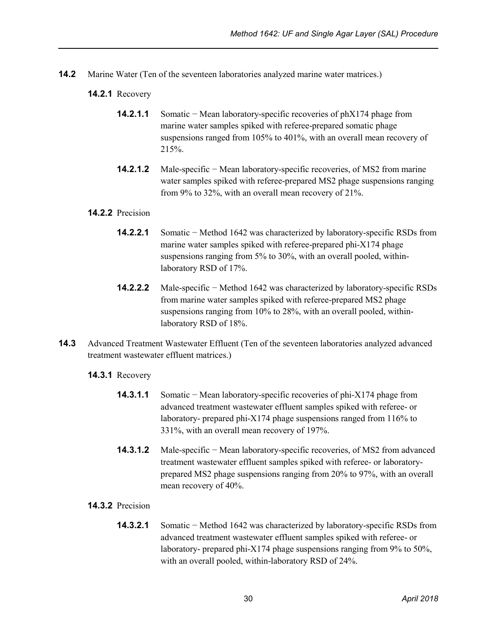- **14.2** Marine Water (Ten of the seventeen laboratories analyzed marine water matrices.)
	- **14.2.1** Recovery
		- **14.2.1.1** Somatic − Mean laboratory-specific recoveries of phX174 phage from marine water samples spiked with referee-prepared somatic phage suspensions ranged from 105% to 401%, with an overall mean recovery of 215%.
		- **14.2.1.2** Male-specific − Mean laboratory-specific recoveries, of MS2 from marine water samples spiked with referee-prepared MS2 phage suspensions ranging from 9% to 32%, with an overall mean recovery of 21%.

#### **14.2.2** Precision

- **14.2.2.1** Somatic − Method 1642 was characterized by laboratory-specific RSDs from marine water samples spiked with referee-prepared phi-X174 phage suspensions ranging from 5% to 30%, with an overall pooled, withinlaboratory RSD of 17%.
- **14.2.2.2** Male-specific − Method 1642 was characterized by laboratory-specific RSDs from marine water samples spiked with referee-prepared MS2 phage suspensions ranging from 10% to 28%, with an overall pooled, withinlaboratory RSD of 18%.
- **14.3** Advanced Treatment Wastewater Effluent (Ten of the seventeen laboratories analyzed advanced treatment wastewater effluent matrices.)

#### **14.3.1** Recovery

- **14.3.1.1** Somatic − Mean laboratory-specific recoveries of phi-X174 phage from advanced treatment wastewater effluent samples spiked with referee- or laboratory- prepared phi-X174 phage suspensions ranged from 116% to 331%, with an overall mean recovery of 197%.
- **14.3.1.2** Male-specific − Mean laboratory-specific recoveries, of MS2 from advanced treatment wastewater effluent samples spiked with referee- or laboratoryprepared MS2 phage suspensions ranging from 20% to 97%, with an overall mean recovery of 40%.
- **14.3.2** Precision
	- **14.3.2.1** Somatic − Method 1642 was characterized by laboratory-specific RSDs from advanced treatment wastewater effluent samples spiked with referee- or laboratory- prepared phi-X174 phage suspensions ranging from 9% to 50%, with an overall pooled, within-laboratory RSD of 24%.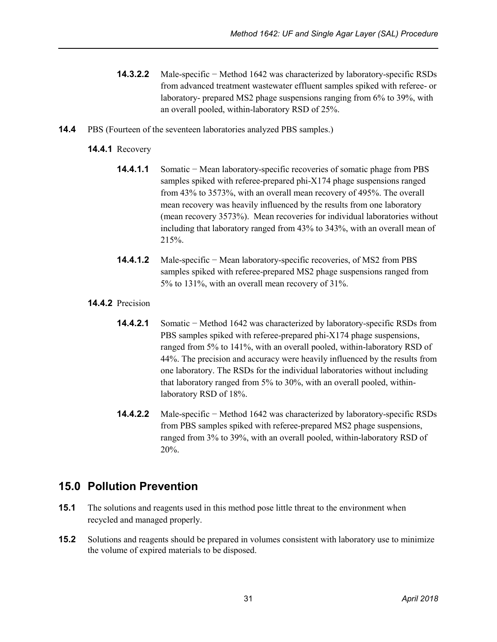- **14.3.2.2** Male-specific − Method 1642 was characterized by laboratory-specific RSDs from advanced treatment wastewater effluent samples spiked with referee- or laboratory- prepared MS2 phage suspensions ranging from 6% to 39%, with an overall pooled, within-laboratory RSD of 25%.
- **14.4** PBS (Fourteen of the seventeen laboratories analyzed PBS samples.)

#### **14.4.1** Recovery

- **14.4.1.1** Somatic − Mean laboratory-specific recoveries of somatic phage from PBS samples spiked with referee-prepared phi-X174 phage suspensions ranged from 43% to 3573%, with an overall mean recovery of 495%. The overall mean recovery was heavily influenced by the results from one laboratory (mean recovery 3573%). Mean recoveries for individual laboratories without including that laboratory ranged from 43% to 343%, with an overall mean of 215%.
- **14.4.1.2** Male-specific − Mean laboratory-specific recoveries, of MS2 from PBS samples spiked with referee-prepared MS2 phage suspensions ranged from 5% to 131%, with an overall mean recovery of 31%.

#### **14.4.2** Precision

- **14.4.2.1** Somatic − Method 1642 was characterized by laboratory-specific RSDs from PBS samples spiked with referee-prepared phi-X174 phage suspensions, ranged from 5% to 141%, with an overall pooled, within-laboratory RSD of 44%. The precision and accuracy were heavily influenced by the results from one laboratory. The RSDs for the individual laboratories without including that laboratory ranged from 5% to 30%, with an overall pooled, withinlaboratory RSD of 18%.
- **14.4.2.2** Male-specific − Method 1642 was characterized by laboratory-specific RSDs from PBS samples spiked with referee-prepared MS2 phage suspensions, ranged from 3% to 39%, with an overall pooled, within-laboratory RSD of 20%.

### <span id="page-36-0"></span>**15.0 Pollution Prevention**

- **15.1** The solutions and reagents used in this method pose little threat to the environment when recycled and managed properly.
- **15.2** Solutions and reagents should be prepared in volumes consistent with laboratory use to minimize the volume of expired materials to be disposed.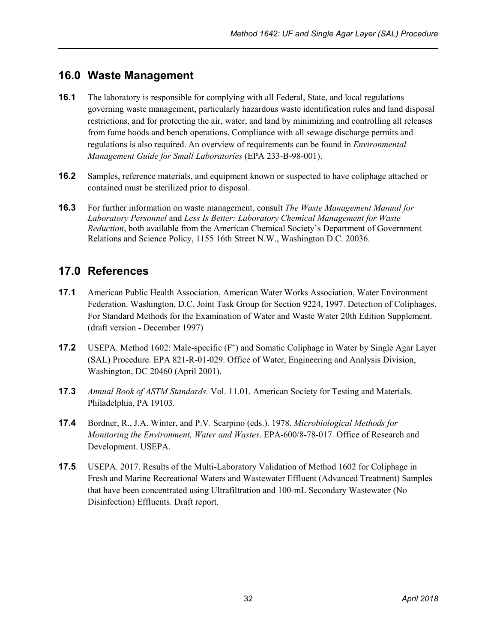### <span id="page-37-0"></span>**16.0 Waste Management**

- **16.1** The laboratory is responsible for complying with all Federal, State, and local regulations governing waste management, particularly hazardous waste identification rules and land disposal restrictions, and for protecting the air, water, and land by minimizing and controlling all releases from fume hoods and bench operations. Compliance with all sewage discharge permits and regulations is also required. An overview of requirements can be found in *Environmental Management Guide for Small Laboratories* (EPA 233-B-98-001).
- **16.2** Samples, reference materials, and equipment known or suspected to have coliphage attached or contained must be sterilized prior to disposal.
- **16.3** For further information on waste management, consult *The Waste Management Manual for Laboratory Personnel* and *Less Is Better: Laboratory Chemical Management for Waste Reduction*, both available from the American Chemical Society's Department of Government Relations and Science Policy, 1155 16th Street N.W., Washington D.C. 20036.

### <span id="page-37-1"></span>**17.0 References**

- **17.1** American Public Health Association, American Water Works Association, Water Environment Federation. Washington, D.C. Joint Task Group for Section 9224, 1997. Detection of Coliphages. For Standard Methods for the Examination of Water and Waste Water 20th Edition Supplement. (draft version - December 1997)
- **17.2** USEPA. Method 1602: Male-specific (F<sup>+</sup>) and Somatic Coliphage in Water by Single Agar Layer (SAL) Procedure. EPA 821-R-01-029. Office of Water, Engineering and Analysis Division, Washington, DC 20460 (April 2001).
- **17.3** *Annual Book of ASTM Standards.* Vol. 11.01. American Society for Testing and Materials. Philadelphia, PA 19103.
- **17.4** Bordner, R., J.A. Winter, and P.V. Scarpino (eds.). 1978. *Microbiological Methods for Monitoring the Environment, Water and Wastes*. EPA-600/8-78-017. Office of Research and Development. USEPA.
- **17.5** USEPA. 2017. Results of the Multi-Laboratory Validation of Method 1602 for Coliphage in Fresh and Marine Recreational Waters and Wastewater Effluent (Advanced Treatment) Samples that have been concentrated using Ultrafiltration and 100-mL Secondary Wastewater (No Disinfection) Effluents. Draft report.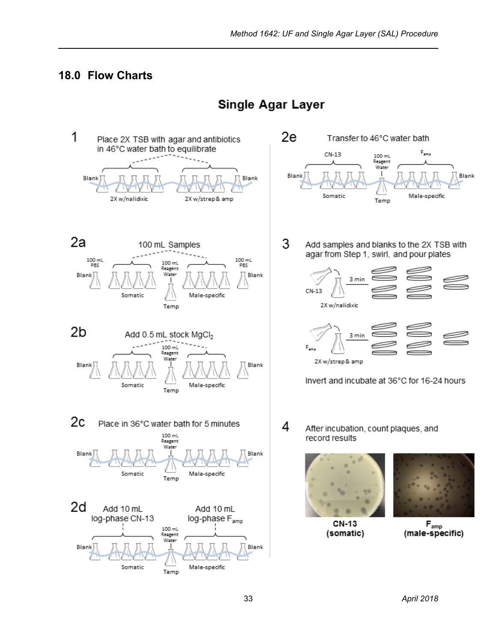### <span id="page-38-0"></span>**18.0 Flow Charts**



### **Single Agar Layer**